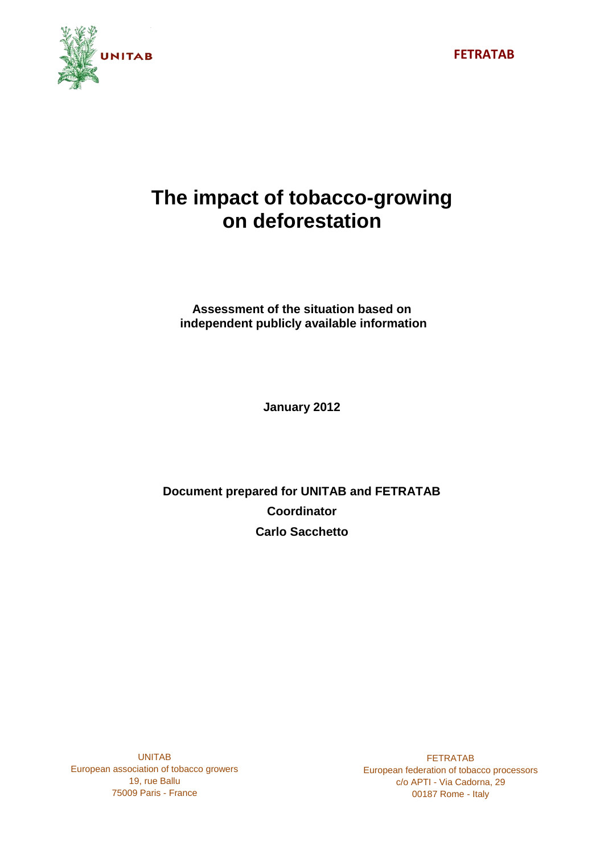

# **The impact of tobacco-growing on deforestation**

**Assessment of the situation based on independent publicly available information**

**January 2012**

**Document prepared for UNITAB and FETRATAB Coordinator Carlo Sacchetto**

UNITAB European association of tobacco growers 19, rue Ballu 75009 Paris - France

FETRATAB European federation of tobacco processors c/o APTI - Via Cadorna, 29 00187 Rome - Italy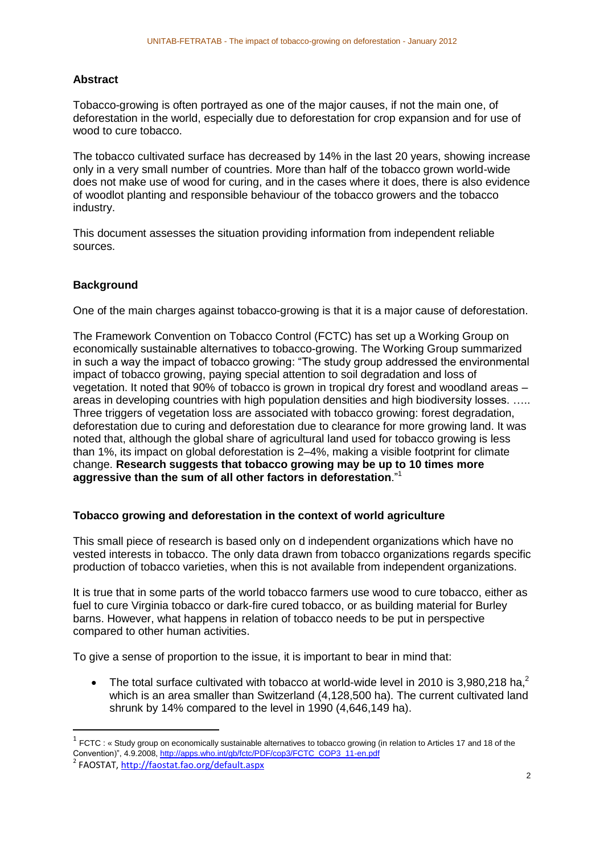# **Abstract**

Tobacco-growing is often portrayed as one of the major causes, if not the main one, of deforestation in the world, especially due to deforestation for crop expansion and for use of wood to cure tobacco.

The tobacco cultivated surface has decreased by 14% in the last 20 years, showing increase only in a very small number of countries. More than half of the tobacco grown world-wide does not make use of wood for curing, and in the cases where it does, there is also evidence of woodlot planting and responsible behaviour of the tobacco growers and the tobacco industry.

This document assesses the situation providing information from independent reliable sources.

# **Background**

One of the main charges against tobacco-growing is that it is a major cause of deforestation.

The Framework Convention on Tobacco Control (FCTC) has set up a Working Group on economically sustainable alternatives to tobacco-growing. The Working Group summarized in such a way the impact of tobacco growing: "The study group addressed the environmental impact of tobacco growing, paying special attention to soil degradation and loss of vegetation. It noted that 90% of tobacco is grown in tropical dry forest and woodland areas – areas in developing countries with high population densities and high biodiversity losses. ….. Three triggers of vegetation loss are associated with tobacco growing: forest degradation, deforestation due to curing and deforestation due to clearance for more growing land. It was noted that, although the global share of agricultural land used for tobacco growing is less than 1%, its impact on global deforestation is 2–4%, making a visible footprint for climate change. **Research suggests that tobacco growing may be up to 10 times more aggressive than the sum of all other factors in deforestation**."<sup>1</sup>

# **Tobacco growing and deforestation in the context of world agriculture**

This small piece of research is based only on d independent organizations which have no vested interests in tobacco. The only data drawn from tobacco organizations regards specific production of tobacco varieties, when this is not available from independent organizations.

It is true that in some parts of the world tobacco farmers use wood to cure tobacco, either as fuel to cure Virginia tobacco or dark-fire cured tobacco, or as building material for Burley barns. However, what happens in relation of tobacco needs to be put in perspective compared to other human activities.

To give a sense of proportion to the issue, it is important to bear in mind that:

• The total surface cultivated with tobacco at world-wide level in 2010 is 3,980,218 ha,<sup>2</sup> which is an area smaller than Switzerland (4,128,500 ha). The current cultivated land shrunk by 14% compared to the level in 1990 (4,646,149 ha).

**.** 

 $1$  FCTC : « Study group on economically sustainable alternatives to tobacco growing (in relation to Articles 17 and 18 of the Convention)", 4.9.2008, [http://apps.who.int/gb/fctc/PDF/cop3/FCTC\\_COP3\\_11-en.pdf](http://apps.who.int/gb/fctc/PDF/cop3/FCTC_COP3_11-en.pdf)

<sup>2</sup> FAOSTAT,<http://faostat.fao.org/default.aspx>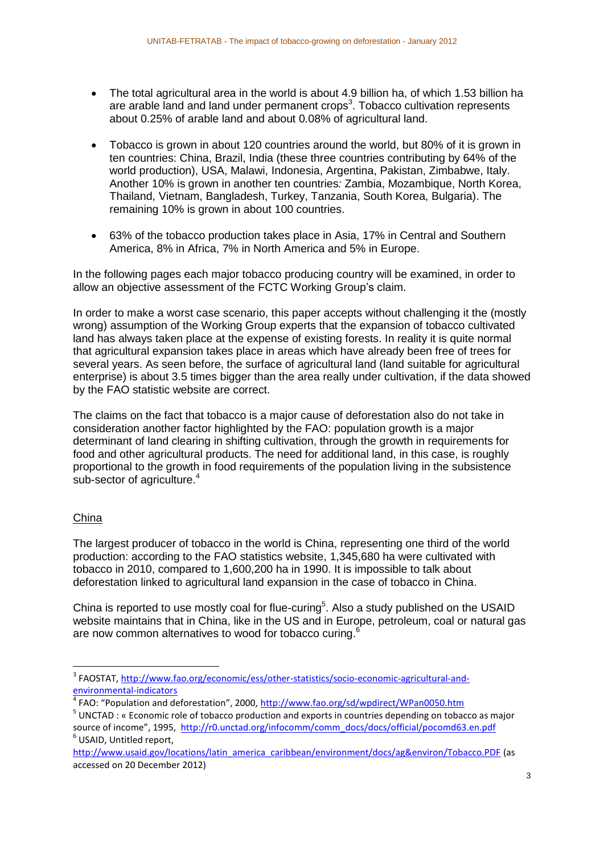- The total agricultural area in the world is about 4.9 billion ha, of which 1.53 billion ha are arable land and land under permanent crops<sup>3</sup>. Tobacco cultivation represents about 0.25% of arable land and about 0.08% of agricultural land.
- Tobacco is grown in about 120 countries around the world, but 80% of it is grown in ten countries: China, Brazil, India (these three countries contributing by 64% of the world production), USA, Malawi, Indonesia, Argentina, Pakistan, Zimbabwe, Italy. Another 10% is grown in another ten countries*:* Zambia, Mozambique, North Korea, Thailand, Vietnam, Bangladesh, Turkey, Tanzania, South Korea, Bulgaria). The remaining 10% is grown in about 100 countries.
- 63% of the tobacco production takes place in Asia, 17% in Central and Southern America, 8% in Africa, 7% in North America and 5% in Europe.

In the following pages each major tobacco producing country will be examined, in order to allow an objective assessment of the FCTC Working Group's claim.

In order to make a worst case scenario, this paper accepts without challenging it the (mostly wrong) assumption of the Working Group experts that the expansion of tobacco cultivated land has always taken place at the expense of existing forests. In reality it is quite normal that agricultural expansion takes place in areas which have already been free of trees for several years. As seen before, the surface of agricultural land (land suitable for agricultural enterprise) is about 3.5 times bigger than the area really under cultivation, if the data showed by the FAO statistic website are correct.

The claims on the fact that tobacco is a major cause of deforestation also do not take in consideration another factor highlighted by the FAO: population growth is a major determinant of land clearing in shifting cultivation, through the growth in requirements for food and other agricultural products. The need for additional land, in this case, is roughly proportional to the growth in food requirements of the population living in the subsistence sub-sector of agriculture.<sup>4</sup>

# China

The largest producer of tobacco in the world is China, representing one third of the world production: according to the FAO statistics website, 1,345,680 ha were cultivated with tobacco in 2010, compared to 1,600,200 ha in 1990. It is impossible to talk about deforestation linked to agricultural land expansion in the case of tobacco in China.

China is reported to use mostly coal for flue-curing<sup>5</sup>. Also a study published on the USAID website maintains that in China, like in the US and in Europe, petroleum, coal or natural gas are now common alternatives to wood for tobacco curing.<sup>6</sup>

 3 FAOSTAT, [http://www.fao.org/economic/ess/other-statistics/socio-economic-agricultural-and](http://www.fao.org/economic/ess/other-statistics/socio-economic-agricultural-and-environmental-indicators)[environmental-indicators](http://www.fao.org/economic/ess/other-statistics/socio-economic-agricultural-and-environmental-indicators)

<sup>&</sup>lt;sup>4</sup> FAO: "Population and deforestation", 2000, <http://www.fao.org/sd/wpdirect/WPan0050.htm>

<sup>&</sup>lt;sup>5</sup> UNCTAD : « Economic role of tobacco production and exports in countries depending on tobacco as major source of income", 1995, [http://r0.unctad.org/infocomm/comm\\_docs/docs/official/pocomd63.en.pdf](http://r0.unctad.org/infocomm/comm_docs/docs/official/pocomd63.en.pdf) 6 USAID, Untitled report,

[http://www.usaid.gov/locations/latin\\_america\\_caribbean/environment/docs/ag&environ/Tobacco.PDF](http://www.usaid.gov/locations/latin_america_caribbean/environment/docs/ag&environ/Tobacco.PDF) (as accessed on 20 December 2012)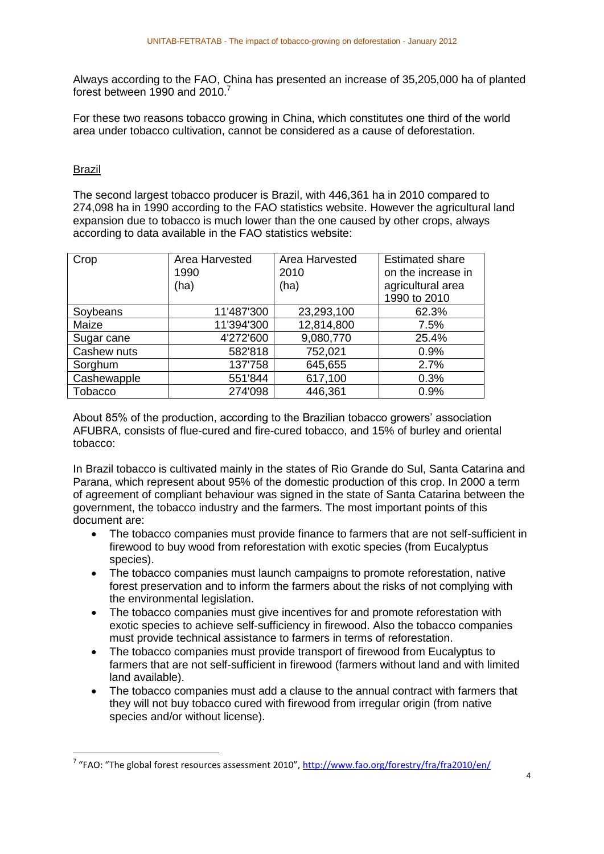Always according to the FAO, China has presented an increase of 35,205,000 ha of planted forest between 1990 and 2010.<sup>7</sup>

For these two reasons tobacco growing in China, which constitutes one third of the world area under tobacco cultivation, cannot be considered as a cause of deforestation.

# Brazil

1

The second largest tobacco producer is Brazil, with 446,361 ha in 2010 compared to 274,098 ha in 1990 according to the FAO statistics website. However the agricultural land expansion due to tobacco is much lower than the one caused by other crops, always according to data available in the FAO statistics website:

| Crop        | Area Harvested<br>1990 | Area Harvested<br>2010 | <b>Estimated share</b><br>on the increase in |
|-------------|------------------------|------------------------|----------------------------------------------|
|             | (ha)                   | (ha)                   | agricultural area<br>1990 to 2010            |
| Soybeans    | 11'487'300             | 23,293,100             | 62.3%                                        |
| Maize       | 11'394'300             | 12,814,800             | 7.5%                                         |
| Sugar cane  | 4'272'600              | 9,080,770              | 25.4%                                        |
| Cashew nuts | 582'818                | 752,021                | 0.9%                                         |
| Sorghum     | 137'758                | 645,655                | 2.7%                                         |
| Cashewapple | 551'844                | 617,100                | 0.3%                                         |
| Tobacco     | 274'098                | 446,361                | 0.9%                                         |

About 85% of the production, according to the Brazilian tobacco growers' association AFUBRA, consists of flue-cured and fire-cured tobacco, and 15% of burley and oriental tobacco:

In Brazil tobacco is cultivated mainly in the states of Rio Grande do Sul, Santa Catarina and Parana, which represent about 95% of the domestic production of this crop. In 2000 a term of agreement of compliant behaviour was signed in the state of Santa Catarina between the government, the tobacco industry and the farmers. The most important points of this document are:

- The tobacco companies must provide finance to farmers that are not self-sufficient in firewood to buy wood from reforestation with exotic species (from Eucalyptus species).
- The tobacco companies must launch campaigns to promote reforestation, native forest preservation and to inform the farmers about the risks of not complying with the environmental legislation.
- The tobacco companies must give incentives for and promote reforestation with exotic species to achieve self-sufficiency in firewood. Also the tobacco companies must provide technical assistance to farmers in terms of reforestation.
- The tobacco companies must provide transport of firewood from Eucalyptus to farmers that are not self-sufficient in firewood (farmers without land and with limited land available).
- The tobacco companies must add a clause to the annual contract with farmers that they will not buy tobacco cured with firewood from irregular origin (from native species and/or without license).

<sup>&</sup>lt;sup>7</sup> "FAO: "The global forest resources assessment 2010", <http://www.fao.org/forestry/fra/fra2010/en/>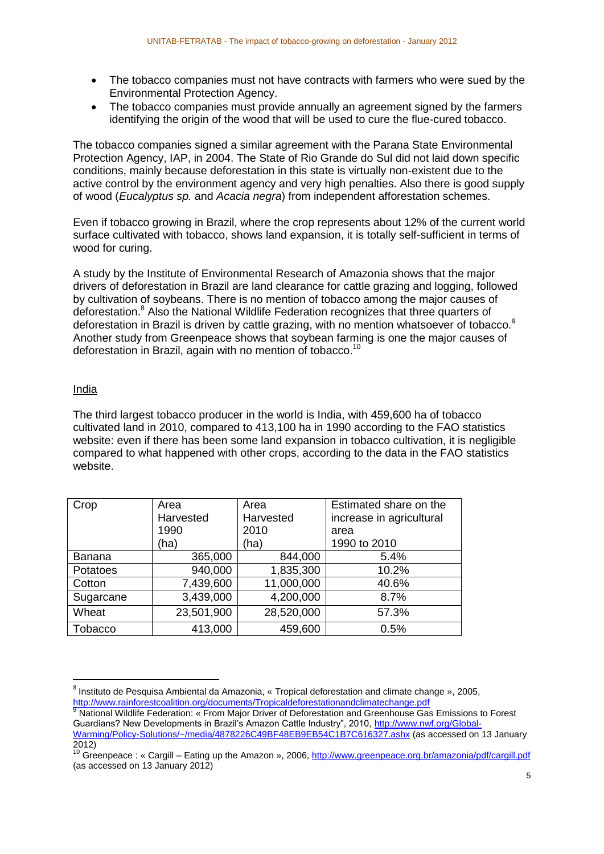- The tobacco companies must not have contracts with farmers who were sued by the Environmental Protection Agency.
- The tobacco companies must provide annually an agreement signed by the farmers identifying the origin of the wood that will be used to cure the flue-cured tobacco.

The tobacco companies signed a similar agreement with the Parana State Environmental Protection Agency, IAP, in 2004. The State of Rio Grande do Sul did not laid down specific conditions, mainly because deforestation in this state is virtually non-existent due to the active control by the environment agency and very high penalties. Also there is good supply of wood (*Eucalyptus sp.* and *Acacia negra*) from independent afforestation schemes.

Even if tobacco growing in Brazil, where the crop represents about 12% of the current world surface cultivated with tobacco, shows land expansion, it is totally self-sufficient in terms of wood for curing.

A study by the Institute of Environmental Research of Amazonia shows that the major drivers of deforestation in Brazil are land clearance for cattle grazing and logging, followed by cultivation of soybeans. There is no mention of tobacco among the major causes of deforestation.<sup>8</sup> Also the National Wildlife Federation recognizes that three quarters of deforestation in Brazil is driven by cattle grazing, with no mention whatsoever of tobacco.<sup>9</sup> Another study from Greenpeace shows that soybean farming is one the major causes of deforestation in Brazil, again with no mention of tobacco.<sup>10</sup>

# India

**.** 

The third largest tobacco producer in the world is India, with 459,600 ha of tobacco cultivated land in 2010, compared to 413,100 ha in 1990 according to the FAO statistics website: even if there has been some land expansion in tobacco cultivation, it is negligible compared to what happened with other crops, according to the data in the FAO statistics website.

| Crop          | Area       | Area       | Estimated share on the   |
|---------------|------------|------------|--------------------------|
|               | Harvested  | Harvested  | increase in agricultural |
|               | 1990       | 2010       | area                     |
|               | (ha)       | (ha)       | 1990 to 2010             |
| <b>Banana</b> | 365,000    | 844,000    | 5.4%                     |
| Potatoes      | 940,000    | 1,835,300  | 10.2%                    |
| Cotton        | 7,439,600  | 11,000,000 | 40.6%                    |
| Sugarcane     | 3,439,000  | 4,200,000  | 8.7%                     |
| Wheat         | 23,501,900 | 28,520,000 | 57.3%                    |
| Tobacco       | 413,000    | 459,600    | 0.5%                     |

<sup>&</sup>lt;sup>8</sup> Instituto de Pesquisa Ambiental da Amazonia, « Tropical deforestation and climate change », 2005, <http://www.rainforestcoalition.org/documents/Tropicaldeforestationandclimatechange.pdf>

National Wildlife Federation: « From Major Driver of Deforestation and Greenhouse Gas Emissions to Forest Guardians? New Developments in Brazil's Amazon Cattle Industry", 2010, [http://www.nwf.org/Global-](http://www.nwf.org/Global-Warming/Policy-Solutions/~/media/4878226C49BF48EB9EB54C1B7C616327.ashx)[Warming/Policy-Solutions/~/media/4878226C49BF48EB9EB54C1B7C616327.ashx](http://www.nwf.org/Global-Warming/Policy-Solutions/~/media/4878226C49BF48EB9EB54C1B7C616327.ashx) (as accessed on 13 January 2012)

<sup>&</sup>lt;sup>10</sup> Greenpeace : « Cargill – Eating up the Amazon », 2006[, http://www.greenpeace.org.br/amazonia/pdf/cargill.pdf](http://www.greenpeace.org.br/amazonia/pdf/cargill.pdf) (as accessed on 13 January 2012)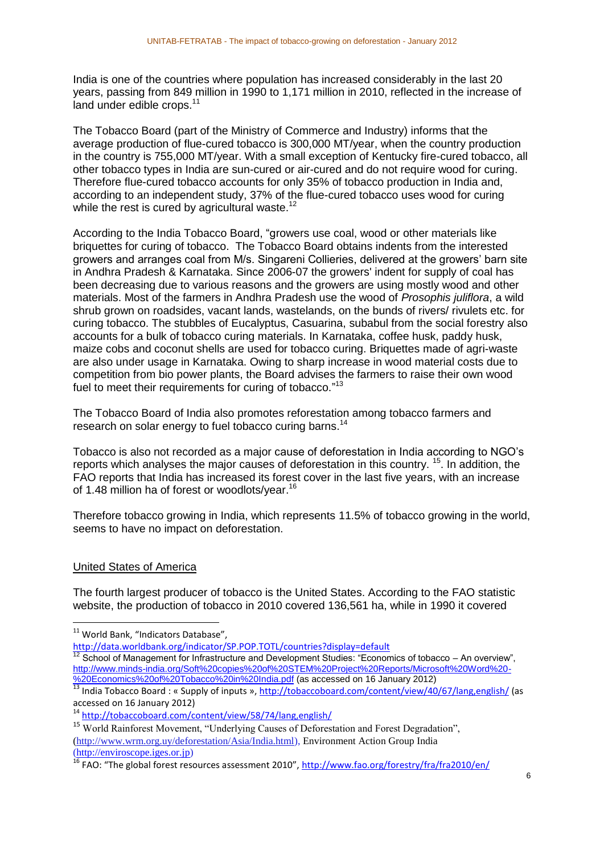India is one of the countries where population has increased considerably in the last 20 years, passing from 849 million in 1990 to 1,171 million in 2010, reflected in the increase of land under edible crops.<sup>11</sup>

The Tobacco Board (part of the Ministry of Commerce and Industry) informs that the average production of flue-cured tobacco is 300,000 MT/year, when the country production in the country is 755,000 MT/year. With a small exception of Kentucky fire-cured tobacco, all other tobacco types in India are sun-cured or air-cured and do not require wood for curing. Therefore flue-cured tobacco accounts for only 35% of tobacco production in India and, according to an independent study, 37% of the flue-cured tobacco uses wood for curing while the rest is cured by agricultural waste.<sup>12</sup>

According to the India Tobacco Board, "growers use coal, wood or other materials like briquettes for curing of tobacco. The Tobacco Board obtains indents from the interested growers and arranges coal from M/s. Singareni Collieries, delivered at the growers' barn site in Andhra Pradesh & Karnataka. Since 2006-07 the growers' indent for supply of coal has been decreasing due to various reasons and the growers are using mostly wood and other materials. Most of the farmers in Andhra Pradesh use the wood of *Prosophis juliflora*, a wild shrub grown on roadsides, vacant lands, wastelands, on the bunds of rivers/ rivulets etc. for curing tobacco. The stubbles of Eucalyptus, Casuarina, subabul from the social forestry also accounts for a bulk of tobacco curing materials. In Karnataka, coffee husk, paddy husk, maize cobs and coconut shells are used for tobacco curing. Briquettes made of agri-waste are also under usage in Karnataka. Owing to sharp increase in wood material costs due to competition from bio power plants, the Board advises the farmers to raise their own wood fuel to meet their requirements for curing of tobacco."<sup>13</sup>

The Tobacco Board of India also promotes reforestation among tobacco farmers and research on solar energy to fuel tobacco curing barns.<sup>14</sup>

Tobacco is also not recorded as a major cause of deforestation in India according to NGO's reports which analyses the major causes of deforestation in this country. <sup>15</sup>. In addition, the FAO reports that India has increased its forest cover in the last five years, with an increase of 1.48 million ha of forest or woodlots/year.<sup>16</sup>

Therefore tobacco growing in India, which represents 11.5% of tobacco growing in the world, seems to have no impact on deforestation.

# United States of America

1

The fourth largest producer of tobacco is the United States. According to the FAO statistic website, the production of tobacco in 2010 covered 136,561 ha, while in 1990 it covered

 $12$  School of Management for Infrastructure and Development Studies: "Economics of tobacco – An overview", [http://www.minds-india.org/Soft%20copies%20of%20STEM%20Project%20Reports/Microsoft%20Word%20-](http://www.minds-india.org/Soft%20copies%20of%20STEM%20Project%20Reports/Microsoft%20Word%20-%20Economics%20of%20Tobacco%20in%20India.pdf) [%20Economics%20of%20Tobacco%20in%20India.pdf](http://www.minds-india.org/Soft%20copies%20of%20STEM%20Project%20Reports/Microsoft%20Word%20-%20Economics%20of%20Tobacco%20in%20India.pdf) (as accessed on 16 January 2012)

<sup>&</sup>lt;sup>11</sup> World Bank, "Indicators Database",

<http://data.worldbank.org/indicator/SP.POP.TOTL/countries?display=default>

<sup>&</sup>lt;sup>13</sup> India Tobacco Board : « Supply of inputs »[, http://tobaccoboard.com/content/view/40/67/lang,english/](http://tobaccoboard.com/content/view/40/67/lang,english/) (as accessed on 16 January 2012)

<sup>14</sup> <http://tobaccoboard.com/content/view/58/74/lang,english/>

<sup>&</sup>lt;sup>15</sup> World Rainforest Movement, "Underlying Causes of Deforestation and Forest Degradation", [\(http://www.wrm.org.uy/deforestation/Asia/India.html\)](http://www.wrm.org.uy/deforestation/Asia/India.html), Environment Action Group India [\(http://enviroscope.iges.or.jp\)](http://enviroscope.iges.or.jp/)

<sup>&</sup>lt;sup>16</sup> FAO: "The global forest resources assessment 2010", <http://www.fao.org/forestry/fra/fra2010/en/>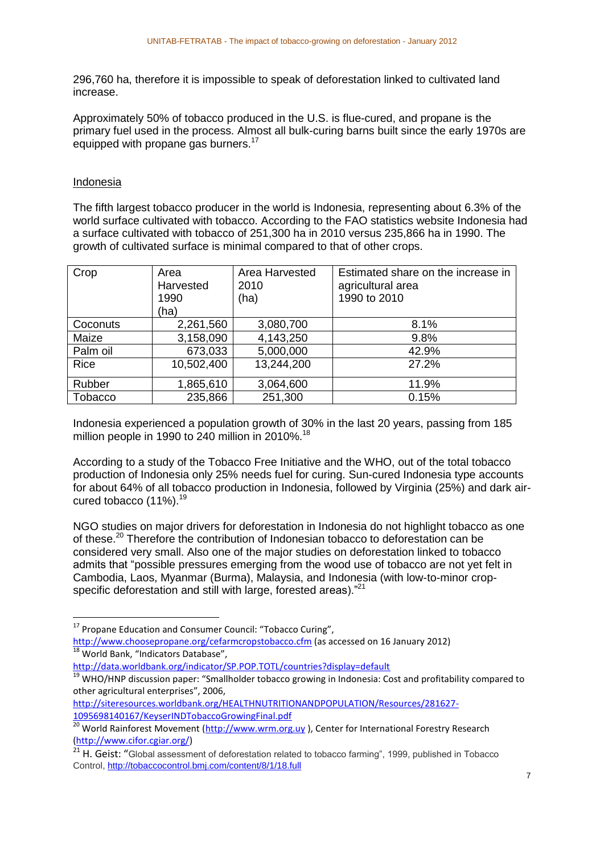296,760 ha, therefore it is impossible to speak of deforestation linked to cultivated land increase.

Approximately 50% of tobacco produced in the U.S. is flue-cured, and propane is the primary fuel used in the process. Almost all bulk-curing barns built since the early 1970s are equipped with propane gas burners.<sup>17</sup>

#### Indonesia

 $\overline{a}$ 

The fifth largest tobacco producer in the world is Indonesia, representing about 6.3% of the world surface cultivated with tobacco. According to the FAO statistics website Indonesia had a surface cultivated with tobacco of 251,300 ha in 2010 versus 235,866 ha in 1990. The growth of cultivated surface is minimal compared to that of other crops.

| Crop     | Area<br>Harvested<br>1990<br>(ha) | Area Harvested<br>2010<br>(ha) | Estimated share on the increase in<br>agricultural area<br>1990 to 2010 |
|----------|-----------------------------------|--------------------------------|-------------------------------------------------------------------------|
| Coconuts | 2,261,560                         | 3,080,700                      | 8.1%                                                                    |
| Maize    | 3,158,090                         | 4,143,250                      | 9.8%                                                                    |
| Palm oil | 673,033                           | 5,000,000                      | 42.9%                                                                   |
| Rice     | 10,502,400                        | 13,244,200                     | 27.2%                                                                   |
| Rubber   | 1,865,610                         | 3,064,600                      | 11.9%                                                                   |
| Tobacco  | 235,866                           | 251,300                        | 0.15%                                                                   |

Indonesia experienced a population growth of 30% in the last 20 years, passing from 185 million people in 1990 to 240 million in 2010%.<sup>18</sup>

According to a study of the Tobacco Free Initiative and the WHO, out of the total tobacco production of Indonesia only 25% needs fuel for curing. Sun-cured Indonesia type accounts for about 64% of all tobacco production in Indonesia, followed by Virginia (25%) and dark aircured tobacco  $(11\%)$ <sup>19</sup>

NGO studies on major drivers for deforestation in Indonesia do not highlight tobacco as one of these.<sup>20</sup> Therefore the contribution of Indonesian tobacco to deforestation can be considered very small. Also one of the major studies on deforestation linked to tobacco admits that "possible pressures emerging from the wood use of tobacco are not yet felt in Cambodia, Laos, Myanmar (Burma), Malaysia, and Indonesia (with low-to-minor cropspecific deforestation and still with large, forested areas)."<sup>21</sup>

<http://data.worldbank.org/indicator/SP.POP.TOTL/countries?display=default>

<sup>19</sup> WHO/HNP discussion paper: "Smallholder tobacco growing in Indonesia: Cost and profitability compared to other agricultural enterprises", 2006,

<sup>&</sup>lt;sup>17</sup> Propane Education and Consumer Council: "Tobacco Curing",

<http://www.choosepropane.org/cefarmcropstobacco.cfm> (as accessed on 16 January 2012)  $18$  World Bank, "Indicators Database",

[http://siteresources.worldbank.org/HEALTHNUTRITIONANDPOPULATION/Resources/281627-](http://siteresources.worldbank.org/HEALTHNUTRITIONANDPOPULATION/Resources/281627-1095698140167/KeyserINDTobaccoGrowingFinal.pdf) [1095698140167/KeyserINDTobaccoGrowingFinal.pdf](http://siteresources.worldbank.org/HEALTHNUTRITIONANDPOPULATION/Resources/281627-1095698140167/KeyserINDTobaccoGrowingFinal.pdf)

<sup>&</sup>lt;sup>20</sup> World Rainforest Movement [\(http://www.wrm.org.uy](http://www.wrm.org.uy/) ), Center for International Forestry Research [\(http://www.cifor.cgiar.org/\)](http://www.cifor.cgiar.org/)

<sup>&</sup>lt;sup>21</sup> H. Geist: "Global assessment of deforestation related to tobacco farming", 1999, published in Tobacco Control,<http://tobaccocontrol.bmj.com/content/8/1/18.full>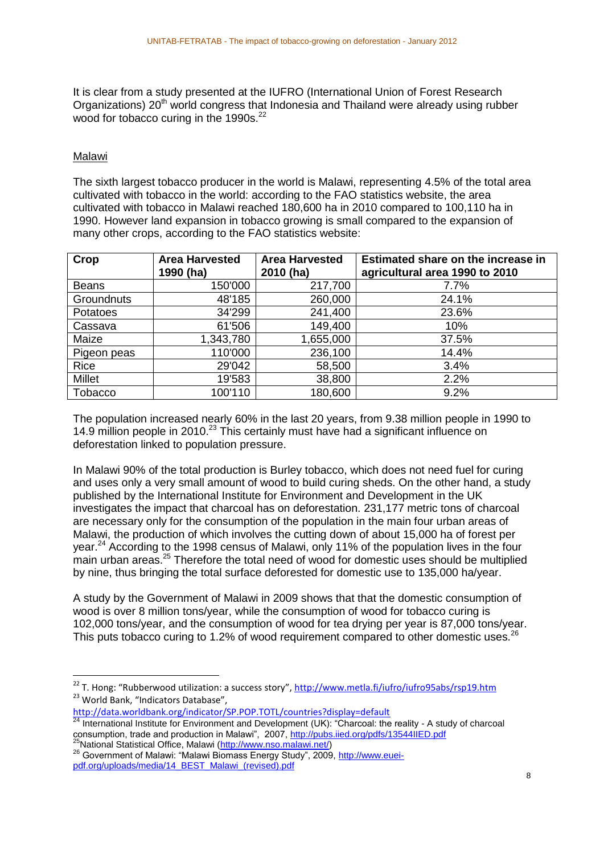It is clear from a study presented at the IUFRO (International Union of Forest Research Organizations)  $20<sup>th</sup>$  world congress that Indonesia and Thailand were already using rubber wood for tobacco curing in the  $1990s.<sup>22</sup>$ 

# Malawi

**.** 

The sixth largest tobacco producer in the world is Malawi, representing 4.5% of the total area cultivated with tobacco in the world: according to the FAO statistics website, the area cultivated with tobacco in Malawi reached 180,600 ha in 2010 compared to 100,110 ha in 1990. However land expansion in tobacco growing is small compared to the expansion of many other crops, according to the FAO statistics website:

| Crop              | <b>Area Harvested</b><br>1990 (ha) | <b>Area Harvested</b><br>2010 (ha) | Estimated share on the increase in<br>agricultural area 1990 to 2010 |
|-------------------|------------------------------------|------------------------------------|----------------------------------------------------------------------|
| <b>Beans</b>      | 150'000                            | 217,700                            | 7.7%                                                                 |
| <b>Groundnuts</b> | 48'185                             | 260,000                            | 24.1%                                                                |
| Potatoes          | 34'299                             | 241,400                            | 23.6%                                                                |
| Cassava           | 61'506                             | 149,400                            | 10%                                                                  |
| Maize             | 1,343,780                          | 1,655,000                          | 37.5%                                                                |
| Pigeon peas       | 110'000                            | 236,100                            | 14.4%                                                                |
| Rice              | 29'042                             | 58,500                             | 3.4%                                                                 |
| <b>Millet</b>     | 19'583                             | 38,800                             | 2.2%                                                                 |
| Tobacco           | 100'110                            | 180,600                            | 9.2%                                                                 |

The population increased nearly 60% in the last 20 years, from 9.38 million people in 1990 to 14.9 million people in 2010.<sup>23</sup> This certainly must have had a significant influence on deforestation linked to population pressure.

In Malawi 90% of the total production is Burley tobacco, which does not need fuel for curing and uses only a very small amount of wood to build curing sheds. On the other hand, a study published by the International Institute for Environment and Development in the UK investigates the impact that charcoal has on deforestation. 231,177 metric tons of charcoal are necessary only for the consumption of the population in the main four urban areas of Malawi, the production of which involves the cutting down of about 15,000 ha of forest per year.<sup>24</sup> According to the 1998 census of Malawi, only 11% of the population lives in the four main urban areas.<sup>25</sup> Therefore the total need of wood for domestic uses should be multiplied by nine, thus bringing the total surface deforested for domestic use to 135,000 ha/year.

A study by the Government of Malawi in 2009 shows that that the domestic consumption of wood is over 8 million tons/year, while the consumption of wood for tobacco curing is 102,000 tons/year, and the consumption of wood for tea drying per year is 87,000 tons/year. This puts tobacco curing to 1.2% of wood requirement compared to other domestic uses.<sup>26</sup>

<http://data.worldbank.org/indicator/SP.POP.TOTL/countries?display=default>

<sup>&</sup>lt;sup>22</sup> T. Hong: "Rubberwood utilization: a success story", <http://www.metla.fi/iufro/iufro95abs/rsp19.htm> <sup>23</sup> World Bank, "Indicators Database",

 $^{24}$  International Institute for Environment and Development (UK): "Charcoal: the reality - A study of charcoal consumption, trade and production in Malawi", 2007,<http://pubs.iied.org/pdfs/13544IIED.pdf> <sup>25</sup>National Statistical Office, Malawi [\(http://www.nso.malawi.net/\)](http://www.nso.malawi.net/)

<sup>&</sup>lt;sup>26</sup> Government of Malawi: "Malawi Biomass Energy Study", 2009, [http://www.euei](http://www.euei-pdf.org/uploads/media/14_BEST_Malawi_(revised).pdf)[pdf.org/uploads/media/14\\_BEST\\_Malawi\\_\(revised\).pdf](http://www.euei-pdf.org/uploads/media/14_BEST_Malawi_(revised).pdf)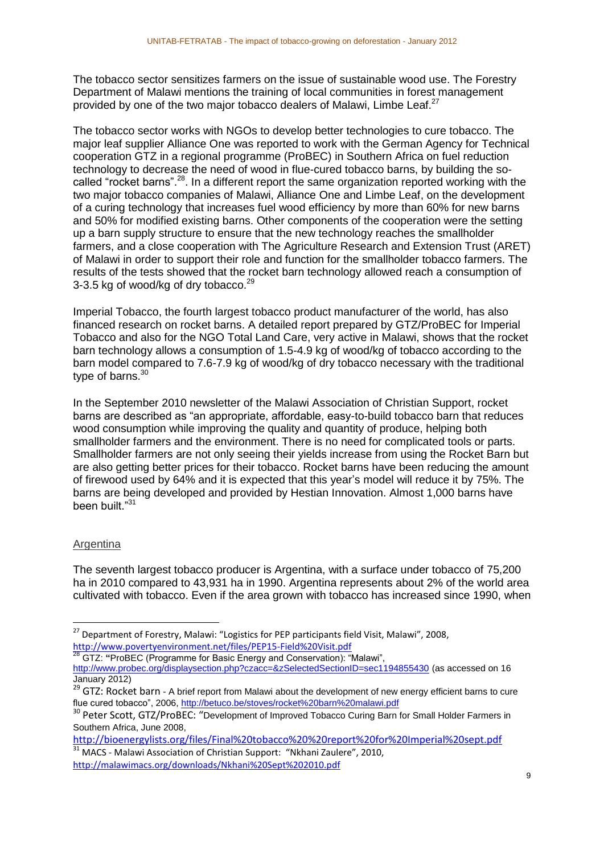The tobacco sector sensitizes farmers on the issue of sustainable wood use. The Forestry Department of Malawi mentions the training of local communities in forest management provided by one of the two major tobacco dealers of Malawi, Limbe Leaf.<sup>27</sup>

The tobacco sector works with NGOs to develop better technologies to cure tobacco. The major leaf supplier Alliance One was reported to work with the German Agency for Technical cooperation GTZ in a regional programme (ProBEC) in Southern Africa on fuel reduction technology to decrease the need of wood in flue-cured tobacco barns, by building the socalled "rocket barns".<sup>28</sup>. In a different report the same organization reported working with the two major tobacco companies of Malawi, Alliance One and Limbe Leaf, on the development of a curing technology that increases fuel wood efficiency by more than 60% for new barns and 50% for modified existing barns. Other components of the cooperation were the setting up a barn supply structure to ensure that the new technology reaches the smallholder farmers, and a close cooperation with The Agriculture Research and Extension Trust (ARET) of Malawi in order to support their role and function for the smallholder tobacco farmers. The results of the tests showed that the rocket barn technology allowed reach a consumption of 3-3.5 kg of wood/kg of dry tobacco.<sup>29</sup>

Imperial Tobacco, the fourth largest tobacco product manufacturer of the world, has also financed research on rocket barns. A detailed report prepared by GTZ/ProBEC for Imperial Tobacco and also for the NGO Total Land Care, very active in Malawi, shows that the rocket barn technology allows a consumption of 1.5-4.9 kg of wood/kg of tobacco according to the barn model compared to 7.6-7.9 kg of wood/kg of dry tobacco necessary with the traditional type of barns.<sup>30</sup>

In the September 2010 newsletter of the Malawi Association of Christian Support, rocket barns are described as "an appropriate, affordable, easy-to-build tobacco barn that reduces wood consumption while improving the quality and quantity of produce, helping both smallholder farmers and the environment. There is no need for complicated tools or parts. Smallholder farmers are not only seeing their yields increase from using the Rocket Barn but are also getting better prices for their tobacco. Rocket barns have been reducing the amount of firewood used by 64% and it is expected that this year's model will reduce it by 75%. The barns are being developed and provided by Hestian Innovation. Almost 1,000 barns have been built."<sup>31</sup>

# Argentina

**.** 

The seventh largest tobacco producer is Argentina, with a surface under tobacco of 75,200 ha in 2010 compared to 43,931 ha in 1990. Argentina represents about 2% of the world area cultivated with tobacco. Even if the area grown with tobacco has increased since 1990, when

<sup>28</sup> GTZ: **"**ProBEC (Programme for Basic Energy and Conservation): "Malawi",

<http://bioenergylists.org/files/Final%20tobacco%20%20report%20for%20Imperial%20sept.pdf>

<sup>31</sup> MACS - Malawi Association of Christian Support: "Nkhani Zaulere", 2010, <http://malawimacs.org/downloads/Nkhani%20Sept%202010.pdf>

<sup>&</sup>lt;sup>27</sup> Department of Forestry, Malawi: "Logistics for PEP participants field Visit, Malawi", 2008, <http://www.povertyenvironment.net/files/PEP15-Field%20Visit.pdf><br>28 GT7: "Drep C (D

<http://www.probec.org/displaysection.php?czacc=&zSelectedSectionID=sec1194855430> (as accessed on 16 January 2012)

<sup>&</sup>lt;sup>29</sup> GTZ: Rocket barn - A brief report from Malawi about the development of new energy efficient barns to cure flue cured tobacco", 2006[, http://betuco.be/stoves/rocket%20barn%20malawi.pdf](http://betuco.be/stoves/rocket%20barn%20malawi.pdf)

<sup>&</sup>lt;sup>30</sup> Peter Scott, GTZ/ProBEC: "Development of Improved Tobacco Curing Barn for Small Holder Farmers in Southern Africa, June 2008,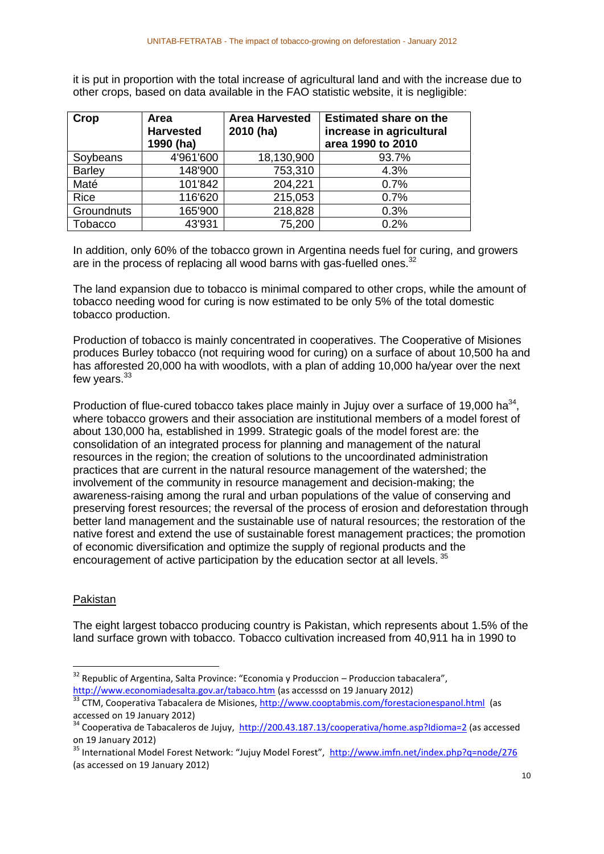it is put in proportion with the total increase of agricultural land and with the increase due to other crops, based on data available in the FAO statistic website, it is negligible:

| Crop          | Area<br><b>Harvested</b><br>1990 (ha) | <b>Area Harvested</b><br>2010 (ha) | <b>Estimated share on the</b><br>increase in agricultural<br>area 1990 to 2010 |
|---------------|---------------------------------------|------------------------------------|--------------------------------------------------------------------------------|
| Soybeans      | 4'961'600                             | 18,130,900                         | 93.7%                                                                          |
| <b>Barley</b> | 148'900                               | 753,310                            | 4.3%                                                                           |
| Maté          | 101'842                               | 204,221                            | 0.7%                                                                           |
| <b>Rice</b>   | 116'620                               | 215,053                            | 0.7%                                                                           |
| Groundnuts    | 165'900                               | 218,828                            | 0.3%                                                                           |
| Tobacco       | 43'931                                | 75,200                             | 0.2%                                                                           |

In addition, only 60% of the tobacco grown in Argentina needs fuel for curing, and growers are in the process of replacing all wood barns with gas-fuelled ones.<sup>32</sup>

The land expansion due to tobacco is minimal compared to other crops, while the amount of tobacco needing wood for curing is now estimated to be only 5% of the total domestic tobacco production.

Production of tobacco is mainly concentrated in cooperatives. The Cooperative of Misiones produces Burley tobacco (not requiring wood for curing) on a surface of about 10,500 ha and has afforested 20,000 ha with woodlots, with a plan of adding 10,000 ha/year over the next few years.<sup>33</sup>

Production of flue-cured tobacco takes place mainly in Jujuy over a surface of 19,000 ha $^{34}$ , where tobacco growers and their association are institutional members of a model forest of about 130,000 ha, established in 1999. Strategic goals of the model forest are: the consolidation of an integrated process for planning and management of the natural resources in the region; the creation of solutions to the uncoordinated administration practices that are current in the natural resource management of the watershed; the involvement of the community in resource management and decision-making; the awareness-raising among the rural and urban populations of the value of conserving and preserving forest resources; the reversal of the process of erosion and deforestation through better land management and the sustainable use of natural resources; the restoration of the native forest and extend the use of sustainable forest management practices; the promotion of economic diversification and optimize the supply of regional products and the encouragement of active participation by the education sector at all levels.<sup>35</sup>

# Pakistan

1

The eight largest tobacco producing country is Pakistan, which represents about 1.5% of the land surface grown with tobacco. Tobacco cultivation increased from 40,911 ha in 1990 to

 $32$  Republic of Argentina, Salta Province: "Economia y Produccion – Produccion tabacalera", <http://www.economiadesalta.gov.ar/tabaco.htm> (as accesssd on 19 January 2012)

<sup>&</sup>lt;sup>33</sup> CTM, Cooperativa Tabacalera de Misiones,<http://www.cooptabmis.com/forestacionespanol.html>(as accessed on 19 January 2012)

<sup>&</sup>lt;sup>34</sup> Cooperativa de Tabacaleros de Jujuy, <http://200.43.187.13/cooperativa/home.asp?Idioma=2> (as accessed on 19 January 2012)

<sup>&</sup>lt;sup>35</sup> International Model Forest Network: "Jujuy Model Forest", <http://www.imfn.net/index.php?q=node/276> (as accessed on 19 January 2012)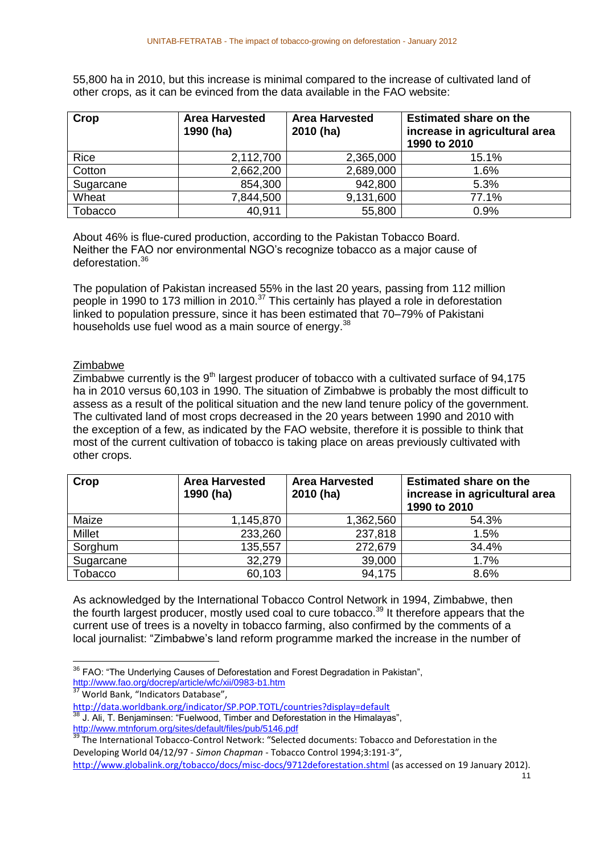55,800 ha in 2010, but this increase is minimal compared to the increase of cultivated land of other crops, as it can be evinced from the data available in the FAO website:

| Crop      | <b>Area Harvested</b><br>1990 (ha) | <b>Area Harvested</b><br>2010 (ha) | <b>Estimated share on the</b><br>increase in agricultural area<br>1990 to 2010 |
|-----------|------------------------------------|------------------------------------|--------------------------------------------------------------------------------|
| Rice      | 2,112,700                          | 2,365,000                          | 15.1%                                                                          |
| Cotton    | 2,662,200                          | 2,689,000                          | 1.6%                                                                           |
| Sugarcane | 854,300                            | 942,800                            | 5.3%                                                                           |
| Wheat     | 7,844,500                          | 9,131,600                          | 77.1%                                                                          |
| Tobacco   | 40,911                             | 55,800                             | 0.9%                                                                           |

About 46% is flue-cured production, according to the Pakistan Tobacco Board. Neither the FAO nor environmental NGO's recognize tobacco as a major cause of deforestation.<sup>36</sup>

The population of Pakistan increased 55% in the last 20 years, passing from 112 million people in 1990 to 173 million in 2010.<sup>37</sup> This certainly has played a role in deforestation linked to population pressure, since it has been estimated that 70–79% of Pakistani households use fuel wood as a main source of energy.<sup>38</sup>

#### Zimbabwe

 $\overline{\text{Zimbabwe}}$  currently is the 9<sup>th</sup> largest producer of tobacco with a cultivated surface of 94,175 ha in 2010 versus 60,103 in 1990. The situation of Zimbabwe is probably the most difficult to assess as a result of the political situation and the new land tenure policy of the government. The cultivated land of most crops decreased in the 20 years between 1990 and 2010 with the exception of a few, as indicated by the FAO website, therefore it is possible to think that most of the current cultivation of tobacco is taking place on areas previously cultivated with other crops.

| Crop          | <b>Area Harvested</b><br>1990 (ha) | <b>Area Harvested</b><br>2010 (ha) | <b>Estimated share on the</b><br>increase in agricultural area<br>1990 to 2010 |
|---------------|------------------------------------|------------------------------------|--------------------------------------------------------------------------------|
| Maize         | 1,145,870                          | 1,362,560                          | 54.3%                                                                          |
| <b>Millet</b> | 233,260                            | 237,818                            | 1.5%                                                                           |
| Sorghum       | 135,557                            | 272,679                            | 34.4%                                                                          |
| Sugarcane     | 32,279                             | 39,000                             | 1.7%                                                                           |
| Tobacco       | 60,103                             | 94,175                             | 8.6%                                                                           |

As acknowledged by the International Tobacco Control Network in 1994, Zimbabwe, then the fourth largest producer, mostly used coal to cure tobacco.<sup>39</sup> It therefore appears that the current use of trees is a novelty in tobacco farming, also confirmed by the comments of a local journalist: "Zimbabwe's land reform programme marked the increase in the number of

<sup>37</sup> World Bank, "Indicators Database",

<http://www.mtnforum.org/sites/default/files/pub/5146.pdf>

 $\overline{a}$  $36$  FAO: "The Underlying Causes of Deforestation and Forest Degradation in Pakistan", <http://www.fao.org/docrep/article/wfc/xii/0983-b1.htm>

<http://data.worldbank.org/indicator/SP.POP.TOTL/countries?display=default> J. Ali, T. Benjaminsen: "Fuelwood, Timber and Deforestation in the Himalayas",

**The International Tobacco-Control Network: "Selected documents: Tobacco and Deforestation in the** 39 The International Tobacco-Control Network: "Selected documents: Tobacco and Deforestation in the Developing World 04/12/97 - *Simon Chapman* - Tobacco Control 1994;3:191-3",

<http://www.globalink.org/tobacco/docs/misc-docs/9712deforestation.shtml> (as accessed on 19 January 2012).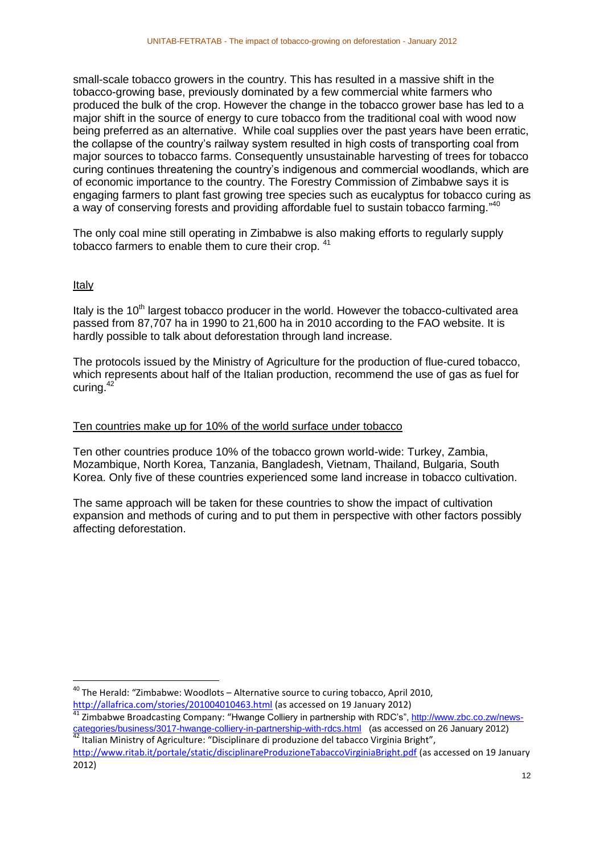small-scale tobacco growers in the country. This has resulted in a massive shift in the tobacco-growing base, previously dominated by a few commercial white farmers who produced the bulk of the crop. However the change in the tobacco grower base has led to a major shift in the source of energy to cure tobacco from the traditional coal with wood now being preferred as an alternative. While coal supplies over the past years have been erratic, the collapse of the country's railway system resulted in high costs of transporting coal from major sources to tobacco farms. Consequently unsustainable harvesting of trees for tobacco curing continues threatening the country's indigenous and commercial woodlands, which are of economic importance to the country. The Forestry Commission of Zimbabwe says it is engaging farmers to plant fast growing tree species such as eucalyptus for tobacco curing as a way of conserving forests and providing affordable fuel to sustain tobacco farming."<sup>40</sup>

The only coal mine still operating in Zimbabwe is also making efforts to regularly supply tobacco farmers to enable them to cure their crop. <sup>41</sup>

# Italy

**.** 

Italy is the  $10<sup>th</sup>$  largest tobacco producer in the world. However the tobacco-cultivated area passed from 87,707 ha in 1990 to 21,600 ha in 2010 according to the FAO website. It is hardly possible to talk about deforestation through land increase.

The protocols issued by the Ministry of Agriculture for the production of flue-cured tobacco, which represents about half of the Italian production, recommend the use of gas as fuel for curing.<sup>42</sup>

#### Ten countries make up for 10% of the world surface under tobacco

Ten other countries produce 10% of the tobacco grown world-wide: Turkey, Zambia, Mozambique, North Korea, Tanzania, Bangladesh, Vietnam, Thailand, Bulgaria, South Korea. Only five of these countries experienced some land increase in tobacco cultivation.

The same approach will be taken for these countries to show the impact of cultivation expansion and methods of curing and to put them in perspective with other factors possibly affecting deforestation.

 $^{40}$  The Herald: "Zimbabwe: Woodlots – Alternative source to curing tobacco, April 2010, <http://allafrica.com/stories/201004010463.html> (as accessed on 19 January 2012)

<sup>&</sup>lt;sup>41</sup> Zimbabwe Broadcasting Company: "Hwange Colliery in partnership with RDC's"[, http://www.zbc.co.zw/news](http://www.zbc.co.zw/news-categories/business/3017-hwange-colliery-in-partnership-with-rdcs.html)[categories/business/3017-hwange-colliery-in-partnership-with-rdcs.html](http://www.zbc.co.zw/news-categories/business/3017-hwange-colliery-in-partnership-with-rdcs.html) (as accessed on 26 January 2012)

 $42$  Italian Ministry of Agriculture: "Disciplinare di produzione del tabacco Virginia Bright", <http://www.ritab.it/portale/static/disciplinareProduzioneTabaccoVirginiaBright.pdf> (as accessed on 19 January 2012)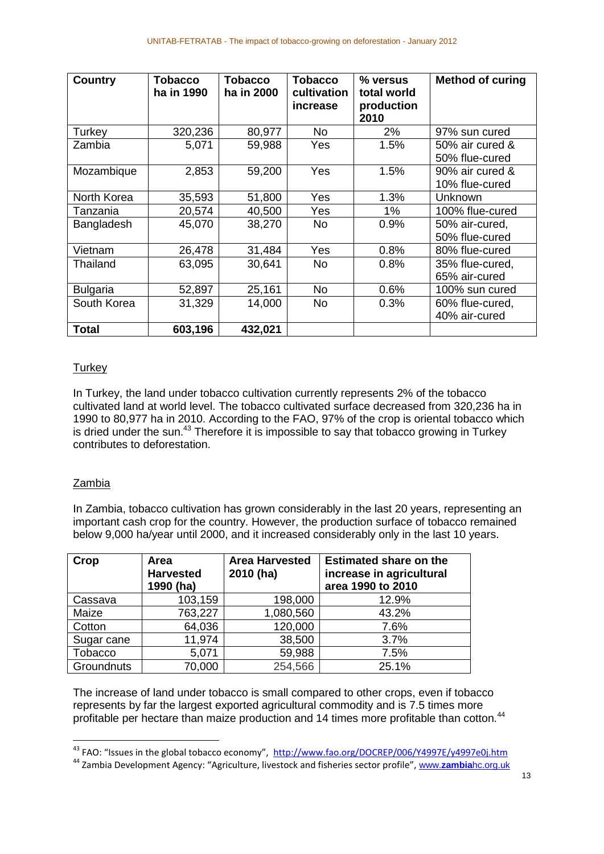| <b>Country</b>  | <b>Tobacco</b><br>ha in 1990 | <b>Tobacco</b><br>ha in 2000 | <b>Tobacco</b><br>cultivation<br>increase | % versus<br>total world<br>production<br>2010 | <b>Method of curing</b>           |
|-----------------|------------------------------|------------------------------|-------------------------------------------|-----------------------------------------------|-----------------------------------|
| Turkey          | 320,236                      | 80,977                       | <b>No</b>                                 | 2%                                            | 97% sun cured                     |
| Zambia          | 5,071                        | 59,988                       | Yes                                       | 1.5%                                          | 50% air cured &<br>50% flue-cured |
| Mozambique      | 2,853                        | 59,200                       | Yes                                       | 1.5%                                          | 90% air cured &<br>10% flue-cured |
| North Korea     | 35,593                       | 51,800                       | Yes                                       | 1.3%                                          | Unknown                           |
| Tanzania        | 20,574                       | 40,500                       | Yes                                       | 1%                                            | 100% flue-cured                   |
| Bangladesh      | 45,070                       | 38,270                       | No.                                       | 0.9%                                          | 50% air-cured,<br>50% flue-cured  |
| Vietnam         | 26,478                       | 31,484                       | Yes                                       | 0.8%                                          | 80% flue-cured                    |
| Thailand        | 63,095                       | 30,641                       | <b>No</b>                                 | 0.8%                                          | 35% flue-cured,<br>65% air-cured  |
| <b>Bulgaria</b> | 52,897                       | 25,161                       | No                                        | 0.6%                                          | 100% sun cured                    |
| South Korea     | 31,329                       | 14,000                       | <b>No</b>                                 | 0.3%                                          | 60% flue-cured,<br>40% air-cured  |
| <b>Total</b>    | 603,196                      | 432,021                      |                                           |                                               |                                   |

# **Turkey**

In Turkey, the land under tobacco cultivation currently represents 2% of the tobacco cultivated land at world level. The tobacco cultivated surface decreased from 320,236 ha in 1990 to 80,977 ha in 2010. According to the FAO, 97% of the crop is oriental tobacco which is dried under the sun.<sup>43</sup> Therefore it is impossible to say that tobacco growing in Turkey contributes to deforestation.

# Zambia

 $\overline{a}$ 

In Zambia, tobacco cultivation has grown considerably in the last 20 years, representing an important cash crop for the country. However, the production surface of tobacco remained below 9,000 ha/year until 2000, and it increased considerably only in the last 10 years.

| Crop           | Area<br><b>Harvested</b><br>1990 (ha) | <b>Area Harvested</b><br>2010 (ha) | <b>Estimated share on the</b><br>increase in agricultural<br>area 1990 to 2010 |
|----------------|---------------------------------------|------------------------------------|--------------------------------------------------------------------------------|
| Cassava        | 103,159                               | 198,000                            | 12.9%                                                                          |
| Maize          | 763,227                               | 1,080,560                          | 43.2%                                                                          |
| Cotton         | 64,036                                | 120,000                            | 7.6%                                                                           |
| Sugar cane     | 11,974                                | 38,500                             | 3.7%                                                                           |
| <b>Tobacco</b> | 5,071                                 | 59,988                             | 7.5%                                                                           |
| Groundnuts     | 70,000                                | 254,566                            | 25.1%                                                                          |

The increase of land under tobacco is small compared to other crops, even if tobacco represents by far the largest exported agricultural commodity and is 7.5 times more profitable per hectare than maize production and 14 times more profitable than cotton.<sup>44</sup>

<sup>&</sup>lt;sup>43</sup> FAO: "Issues in the global tobacco economy", <http://www.fao.org/DOCREP/006/Y4997E/y4997e0j.htm>

<sup>44</sup> Zambia Development Agency: "Agriculture, livestock and fisheries sector profile", www.**zambia**[hc.org.uk](http://www.zambiahc.org.uk/)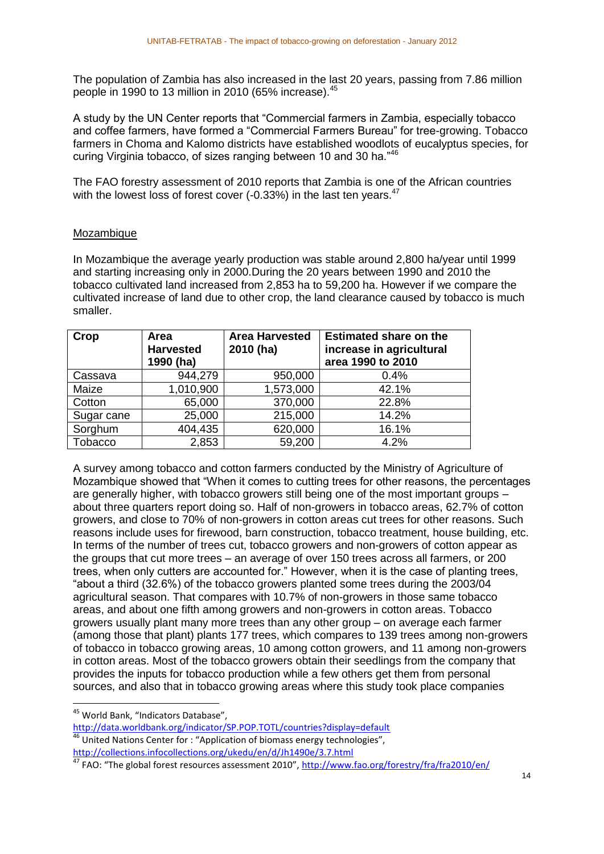The population of Zambia has also increased in the last 20 years, passing from 7.86 million people in 1990 to 13 million in 2010 (65% increase).<sup>45</sup>

A study by the UN Center reports that "Commercial farmers in Zambia, especially tobacco and coffee farmers, have formed a "Commercial Farmers Bureau" for tree-growing. Tobacco farmers in Choma and Kalomo districts have established woodlots of eucalyptus species, for curing Virginia tobacco, of sizes ranging between 10 and 30 ha."<sup>46</sup>

The FAO forestry assessment of 2010 reports that Zambia is one of the African countries with the lowest loss of forest cover (-0.33%) in the last ten years.<sup>47</sup>

#### Mozambique

In Mozambique the average yearly production was stable around 2,800 ha/year until 1999 and starting increasing only in 2000.During the 20 years between 1990 and 2010 the tobacco cultivated land increased from 2,853 ha to 59,200 ha. However if we compare the cultivated increase of land due to other crop, the land clearance caused by tobacco is much smaller.

| Crop       | Area<br><b>Harvested</b><br>1990 (ha) | <b>Area Harvested</b><br>2010 (ha) | <b>Estimated share on the</b><br>increase in agricultural<br>area 1990 to 2010 |
|------------|---------------------------------------|------------------------------------|--------------------------------------------------------------------------------|
| Cassava    | 944,279                               | 950,000                            | 0.4%                                                                           |
| Maize      | 1,010,900                             | 1,573,000                          | 42.1%                                                                          |
| Cotton     | 65,000                                | 370,000                            | 22.8%                                                                          |
| Sugar cane | 25,000                                | 215,000                            | 14.2%                                                                          |
| Sorghum    | 404,435                               | 620,000                            | 16.1%                                                                          |
| Tobacco    | 2,853                                 | 59,200                             | 4.2%                                                                           |

A survey among tobacco and cotton farmers conducted by the Ministry of Agriculture of Mozambique showed that "When it comes to cutting trees for other reasons, the percentages are generally higher, with tobacco growers still being one of the most important groups – about three quarters report doing so. Half of non-growers in tobacco areas, 62.7% of cotton growers, and close to 70% of non-growers in cotton areas cut trees for other reasons. Such reasons include uses for firewood, barn construction, tobacco treatment, house building, etc. In terms of the number of trees cut, tobacco growers and non-growers of cotton appear as the groups that cut more trees – an average of over 150 trees across all farmers, or 200 trees, when only cutters are accounted for." However, when it is the case of planting trees, "about a third (32.6%) of the tobacco growers planted some trees during the 2003/04 agricultural season. That compares with 10.7% of non-growers in those same tobacco areas, and about one fifth among growers and non-growers in cotton areas. Tobacco growers usually plant many more trees than any other group – on average each farmer (among those that plant) plants 177 trees, which compares to 139 trees among non-growers of tobacco in tobacco growing areas, 10 among cotton growers, and 11 among non-growers in cotton areas. Most of the tobacco growers obtain their seedlings from the company that provides the inputs for tobacco production while a few others get them from personal sources, and also that in tobacco growing areas where this study took place companies

**.** 

<sup>&</sup>lt;sup>45</sup> World Bank, "Indicators Database",

<http://data.worldbank.org/indicator/SP.POP.TOTL/countries?display=default>  $46$  United Nations Center for : "Application of biomass energy technologies", <http://collections.infocollections.org/ukedu/en/d/Jh1490e/3.7.html>

<sup>47</sup> FAO: "The global forest resources assessment 2010", <http://www.fao.org/forestry/fra/fra2010/en/>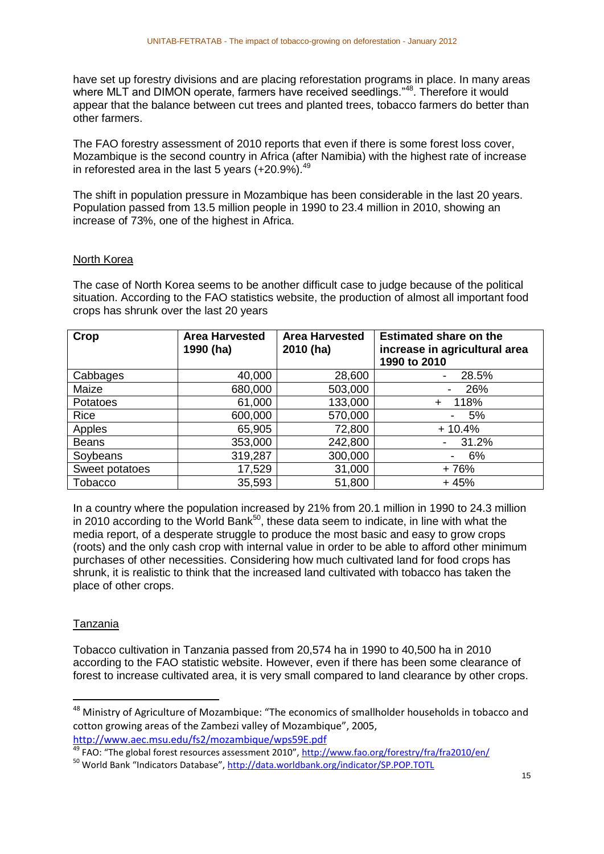have set up forestry divisions and are placing reforestation programs in place. In many areas where MLT and DIMON operate, farmers have received seedlings."<sup>48</sup>. Therefore it would appear that the balance between cut trees and planted trees, tobacco farmers do better than other farmers.

The FAO forestry assessment of 2010 reports that even if there is some forest loss cover, Mozambique is the second country in Africa (after Namibia) with the highest rate of increase in reforested area in the last 5 years  $(+20.9\%)$ .<sup>49</sup>

The shift in population pressure in Mozambique has been considerable in the last 20 years. Population passed from 13.5 million people in 1990 to 23.4 million in 2010, showing an increase of 73%, one of the highest in Africa.

#### North Korea

The case of North Korea seems to be another difficult case to judge because of the political situation. According to the FAO statistics website, the production of almost all important food crops has shrunk over the last 20 years

| Crop           | <b>Area Harvested</b><br>1990 (ha) | <b>Area Harvested</b><br>2010 (ha) | <b>Estimated share on the</b><br>increase in agricultural area<br>1990 to 2010 |
|----------------|------------------------------------|------------------------------------|--------------------------------------------------------------------------------|
| Cabbages       | 40,000                             | 28,600                             | 28.5%                                                                          |
| Maize          | 680,000                            | 503,000                            | 26%                                                                            |
| Potatoes       | 61,000                             | 133,000                            | 118%<br>÷                                                                      |
| Rice           | 600,000                            | 570,000                            | 5%<br>۰                                                                        |
| Apples         | 65,905                             | 72,800                             | $+10.4%$                                                                       |
| <b>Beans</b>   | 353,000                            | 242,800                            | 31.2%                                                                          |
| Soybeans       | 319,287                            | 300,000                            | 6%                                                                             |
| Sweet potatoes | 17,529                             | 31,000                             | $+76%$                                                                         |
| Tobacco        | 35,593                             | 51,800                             | $+45%$                                                                         |

In a country where the population increased by 21% from 20.1 million in 1990 to 24.3 million in 2010 according to the World Bank<sup>50</sup>, these data seem to indicate, in line with what the media report, of a desperate struggle to produce the most basic and easy to grow crops (roots) and the only cash crop with internal value in order to be able to afford other minimum purchases of other necessities. Considering how much cultivated land for food crops has shrunk, it is realistic to think that the increased land cultivated with tobacco has taken the place of other crops.

# Tanzania

**.** 

Tobacco cultivation in Tanzania passed from 20,574 ha in 1990 to 40,500 ha in 2010 according to the FAO statistic website. However, even if there has been some clearance of forest to increase cultivated area, it is very small compared to land clearance by other crops.

<sup>&</sup>lt;sup>48</sup> Ministry of Agriculture of Mozambique: "The economics of smallholder households in tobacco and cotton growing areas of the Zambezi valley of Mozambique", 2005, <http://www.aec.msu.edu/fs2/mozambique/wps59E.pdf>

<sup>49</sup> FAO: "The global forest resources assessment 2010", <http://www.fao.org/forestry/fra/fra2010/en/>

<sup>50</sup> World Bank "Indicators Database", <http://data.worldbank.org/indicator/SP.POP.TOTL>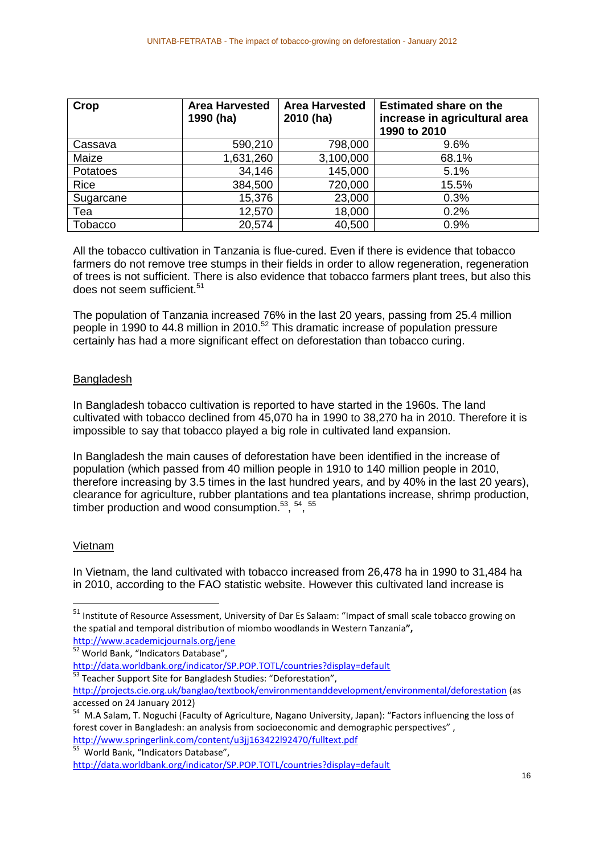| Crop           | <b>Area Harvested</b><br>1990 (ha) | <b>Area Harvested</b><br>2010 (ha) | <b>Estimated share on the</b><br>increase in agricultural area<br>1990 to 2010 |
|----------------|------------------------------------|------------------------------------|--------------------------------------------------------------------------------|
| Cassava        | 590,210                            | 798,000                            | 9.6%                                                                           |
| Maize          | 1,631,260                          | 3,100,000                          | 68.1%                                                                          |
| Potatoes       | 34,146                             | 145,000                            | 5.1%                                                                           |
| Rice           | 384,500                            | 720,000                            | 15.5%                                                                          |
| Sugarcane      | 15,376                             | 23,000                             | 0.3%                                                                           |
| Tea            | 12,570                             | 18,000                             | 0.2%                                                                           |
| <b>Tobacco</b> | 20,574                             | 40,500                             | 0.9%                                                                           |

All the tobacco cultivation in Tanzania is flue-cured. Even if there is evidence that tobacco farmers do not remove tree stumps in their fields in order to allow regeneration, regeneration of trees is not sufficient. There is also evidence that tobacco farmers plant trees, but also this does not seem sufficient.<sup>51</sup>

The population of Tanzania increased 76% in the last 20 years, passing from 25.4 million people in 1990 to 44.8 million in 2010.<sup>52</sup> This dramatic increase of population pressure certainly has had a more significant effect on deforestation than tobacco curing.

# Bangladesh

In Bangladesh tobacco cultivation is reported to have started in the 1960s. The land cultivated with tobacco declined from 45,070 ha in 1990 to 38,270 ha in 2010. Therefore it is impossible to say that tobacco played a big role in cultivated land expansion.

In Bangladesh the main causes of deforestation have been identified in the increase of population (which passed from 40 million people in 1910 to 140 million people in 2010, therefore increasing by 3.5 times in the last hundred years, and by 40% in the last 20 years), clearance for agriculture, rubber plantations and tea plantations increase, shrimp production, timber production and wood consumption. $53, 54, 55$ 

# Vietnam

**.** 

In Vietnam, the land cultivated with tobacco increased from 26,478 ha in 1990 to 31,484 ha in 2010, according to the FAO statistic website. However this cultivated land increase is

<sup>51</sup> Institute of Resource Assessment, University of Dar Es Salaam: "Impact of small scale tobacco growing on the spatial and temporal distribution of miombo woodlands in Western Tanzania**",** 

<http://www.academicjournals.org/jene>

<sup>52</sup> World Bank, "Indicators Database",

<http://data.worldbank.org/indicator/SP.POP.TOTL/countries?display=default>

<sup>&</sup>lt;sup>53</sup> Teacher Support Site for Bangladesh Studies: "Deforestation",

<http://projects.cie.org.uk/banglao/textbook/environmentanddevelopment/environmental/deforestation> (as

accessed on 24 January 2012)<br><sup>54</sup> M.A Salam, T. Noguchi (Faculty of Agriculture, Nagano University, Japan): "Factors influencing the loss of forest cover in Bangladesh: an analysis from socioeconomic and demographic perspectives" , <http://www.springerlink.com/content/u3jj163422l92470/fulltext.pdf><br><sup>55</sup>. Werld Bank, "Indiastars Databass"

World Bank, "Indicators Database",

<http://data.worldbank.org/indicator/SP.POP.TOTL/countries?display=default>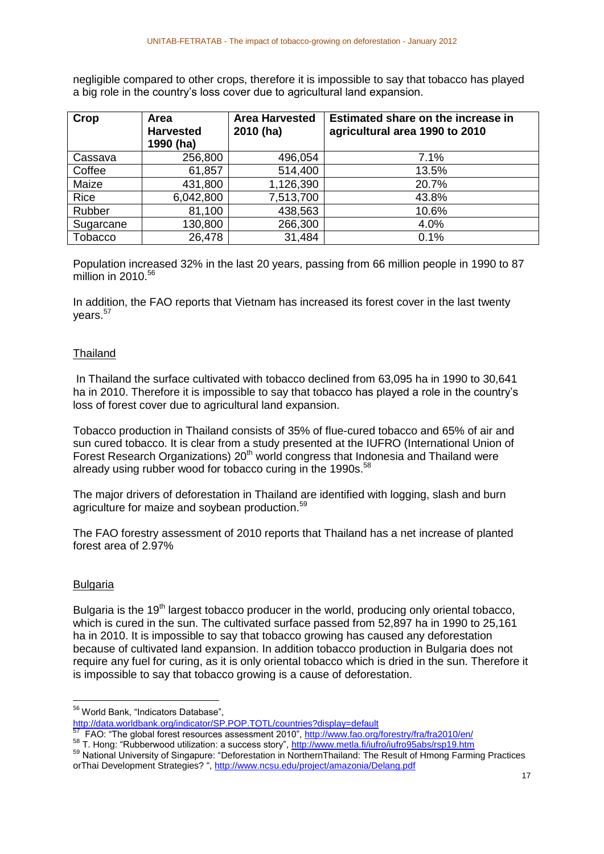negligible compared to other crops, therefore it is impossible to say that tobacco has played a big role in the country's loss cover due to agricultural land expansion.

| Crop      | Area<br><b>Harvested</b><br>1990 (ha) | <b>Area Harvested</b><br>2010 (ha) | Estimated share on the increase in<br>agricultural area 1990 to 2010 |
|-----------|---------------------------------------|------------------------------------|----------------------------------------------------------------------|
| Cassava   | 256,800                               | 496,054                            | 7.1%                                                                 |
| Coffee    | 61,857                                | 514,400                            | 13.5%                                                                |
| Maize     | 431,800                               | 1,126,390                          | 20.7%                                                                |
| Rice      | 6,042,800                             | 7,513,700                          | 43.8%                                                                |
| Rubber    | 81,100                                | 438,563                            | 10.6%                                                                |
| Sugarcane | 130,800                               | 266,300                            | 4.0%                                                                 |
| Tobacco   | 26,478                                | 31,484                             | 0.1%                                                                 |

Population increased 32% in the last 20 years, passing from 66 million people in 1990 to 87 million in  $2010<sup>56</sup>$ 

In addition, the FAO reports that Vietnam has increased its forest cover in the last twenty years.<sup>57</sup>

# **Thailand**

In Thailand the surface cultivated with tobacco declined from 63,095 ha in 1990 to 30,641 ha in 2010. Therefore it is impossible to say that tobacco has played a role in the country's loss of forest cover due to agricultural land expansion.

Tobacco production in Thailand consists of 35% of flue-cured tobacco and 65% of air and sun cured tobacco. It is clear from a study presented at the IUFRO (International Union of Forest Research Organizations) 20<sup>th</sup> world congress that Indonesia and Thailand were already using rubber wood for tobacco curing in the 1990s.<sup>58</sup>

The major drivers of deforestation in Thailand are identified with logging, slash and burn agriculture for maize and soybean production.<sup>59</sup>

The FAO forestry assessment of 2010 reports that Thailand has a net increase of planted forest area of 2.97%

# Bulgaria

**.** 

Bulgaria is the 19<sup>th</sup> largest tobacco producer in the world, producing only oriental tobacco, which is cured in the sun. The cultivated surface passed from 52,897 ha in 1990 to 25,161 ha in 2010. It is impossible to say that tobacco growing has caused any deforestation because of cultivated land expansion. In addition tobacco production in Bulgaria does not require any fuel for curing, as it is only oriental tobacco which is dried in the sun. Therefore it is impossible to say that tobacco growing is a cause of deforestation.

<sup>&</sup>lt;sup>56</sup> World Bank, "Indicators Database",

<http://data.worldbank.org/indicator/SP.POP.TOTL/countries?display=default><br>57 EAO: "The global farest resources assessment 2010", http://www.foo.org

FAO: "The global forest resources assessment 2010",<http://www.fao.org/forestry/fra/fra2010/en/>

<sup>&</sup>lt;sup>58</sup> T. Hong: "Rubberwood utilization: a success story", http://www.metla.fi/iufro/iufro95abs/rsp19.htm

<sup>59</sup> National University of Singapure: "Deforestation in NorthernThailand: The Result of Hmong Farming Practices orThai Development Strategies? "[, http://www.ncsu.edu/project/amazonia/Delang.pdf](http://www.ncsu.edu/project/amazonia/Delang.pdf)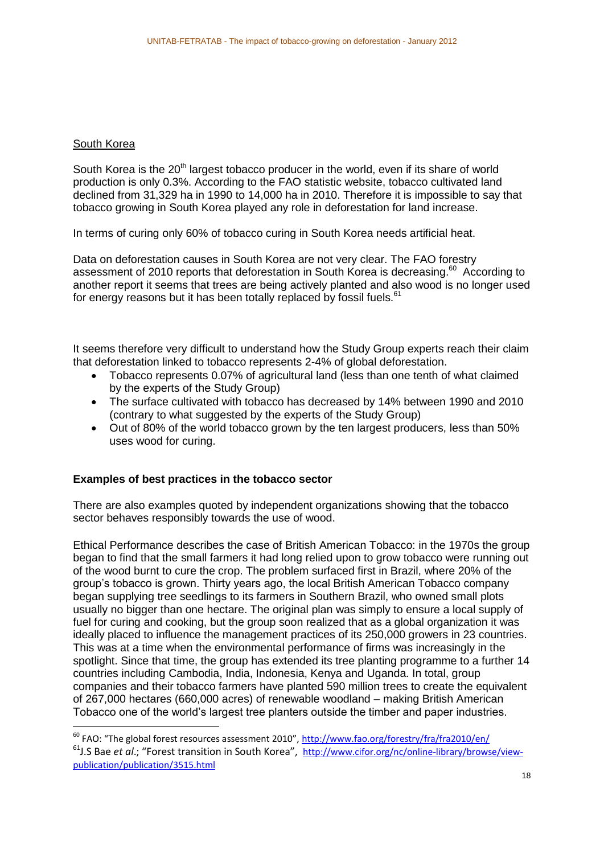#### South Korea

**.** 

South Korea is the 20<sup>th</sup> largest tobacco producer in the world, even if its share of world production is only 0.3%. According to the FAO statistic website, tobacco cultivated land declined from 31,329 ha in 1990 to 14,000 ha in 2010. Therefore it is impossible to say that tobacco growing in South Korea played any role in deforestation for land increase.

In terms of curing only 60% of tobacco curing in South Korea needs artificial heat.

Data on deforestation causes in South Korea are not very clear. The FAO forestry assessment of 2010 reports that deforestation in South Korea is decreasing.<sup>60</sup> According to another report it seems that trees are being actively planted and also wood is no longer used for energy reasons but it has been totally replaced by fossil fuels.<sup>61</sup>

It seems therefore very difficult to understand how the Study Group experts reach their claim that deforestation linked to tobacco represents 2-4% of global deforestation.

- Tobacco represents 0.07% of agricultural land (less than one tenth of what claimed by the experts of the Study Group)
- The surface cultivated with tobacco has decreased by 14% between 1990 and 2010 (contrary to what suggested by the experts of the Study Group)
- Out of 80% of the world tobacco grown by the ten largest producers, less than 50% uses wood for curing.

#### **Examples of best practices in the tobacco sector**

There are also examples quoted by independent organizations showing that the tobacco sector behaves responsibly towards the use of wood.

Ethical Performance describes the case of British American Tobacco: in the 1970s the group began to find that the small farmers it had long relied upon to grow tobacco were running out of the wood burnt to cure the crop. The problem surfaced first in Brazil, where 20% of the group's tobacco is grown. Thirty years ago, the local British American Tobacco company began supplying tree seedlings to its farmers in Southern Brazil, who owned small plots usually no bigger than one hectare. The original plan was simply to ensure a local supply of fuel for curing and cooking, but the group soon realized that as a global organization it was ideally placed to influence the management practices of its 250,000 growers in 23 countries. This was at a time when the environmental performance of firms was increasingly in the spotlight. Since that time, the group has extended its tree planting programme to a further 14 countries including Cambodia, India, Indonesia, Kenya and Uganda. In total, group companies and their tobacco farmers have planted 590 million trees to create the equivalent of 267,000 hectares (660,000 acres) of renewable woodland – making British American Tobacco one of the world's largest tree planters outside the timber and paper industries.

<sup>&</sup>lt;sup>60</sup> FAO: "The global forest resources assessment 2010", <u><http://www.fao.org/forestry/fra/fra2010/en/></u> <sup>61</sup>J.S Bae *et al.*; "Forest transition in South Korea", [http://www.cifor.org/nc/online-library/browse/view](http://www.cifor.org/nc/online-library/browse/view-publication/publication/3515.html)[publication/publication/3515.html](http://www.cifor.org/nc/online-library/browse/view-publication/publication/3515.html)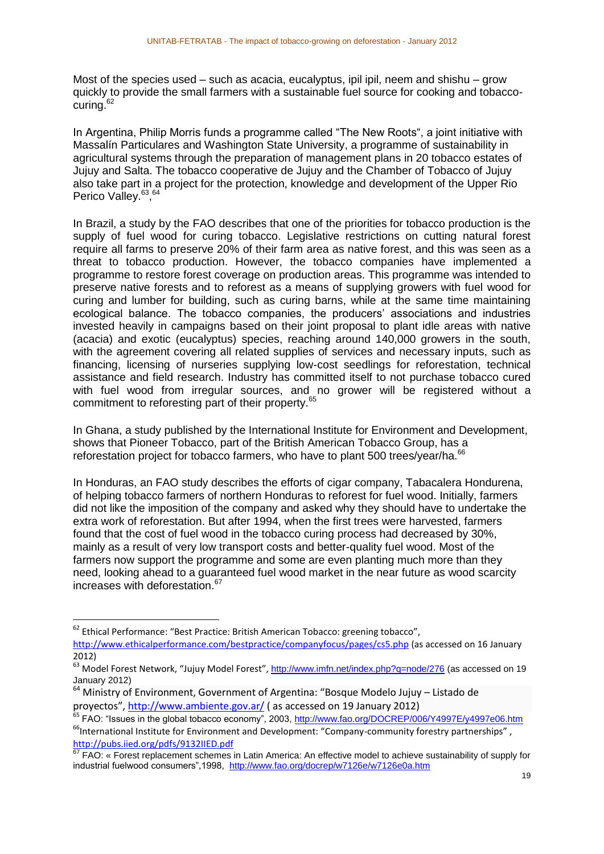Most of the species used – such as acacia, eucalyptus, ipil ipil, neem and shishu – grow quickly to provide the small farmers with a sustainable fuel source for cooking and tobaccocuring. $62$ 

In Argentina, Philip Morris funds a programme called "The New Roots", a joint initiative with Massalín Particulares and Washington State University, a programme of sustainability in agricultural systems through the preparation of management plans in 20 tobacco estates of Jujuy and Salta. The tobacco cooperative de Jujuy and the Chamber of Tobacco of Jujuy also take part in a project for the protection, knowledge and development of the Upper Rio Perico Valley.<sup>63,64</sup>

In Brazil, a study by the FAO describes that one of the priorities for tobacco production is the supply of fuel wood for curing tobacco. Legislative restrictions on cutting natural forest require all farms to preserve 20% of their farm area as native forest, and this was seen as a threat to tobacco production. However, the tobacco companies have implemented a programme to restore forest coverage on production areas. This programme was intended to preserve native forests and to reforest as a means of supplying growers with fuel wood for curing and lumber for building, such as curing barns, while at the same time maintaining ecological balance. The tobacco companies, the producers' associations and industries invested heavily in campaigns based on their joint proposal to plant idle areas with native (acacia) and exotic (eucalyptus) species, reaching around 140,000 growers in the south, with the agreement covering all related supplies of services and necessary inputs, such as financing, licensing of nurseries supplying low-cost seedlings for reforestation, technical assistance and field research. Industry has committed itself to not purchase tobacco cured with fuel wood from irregular sources, and no grower will be registered without a commitment to reforesting part of their property.<sup>65</sup>

In Ghana, a study published by the International Institute for Environment and Development, shows that Pioneer Tobacco, part of the British American Tobacco Group, has a reforestation project for tobacco farmers, who have to plant 500 trees/year/ha.<sup>66</sup>

In Honduras, an FAO study describes the efforts of cigar company, Tabacalera Hondurena, of helping tobacco farmers of northern Honduras to reforest for fuel wood. Initially, farmers did not like the imposition of the company and asked why they should have to undertake the extra work of reforestation. But after 1994, when the first trees were harvested, farmers found that the cost of fuel wood in the tobacco curing process had decreased by 30%, mainly as a result of very low transport costs and better-quality fuel wood. Most of the farmers now support the programme and some are even planting much more than they need, looking ahead to a guaranteed fuel wood market in the near future as wood scarcity increases with deforestation.<sup>67</sup>

1

 $62$  Ethical Performance: "Best Practice: British American Tobacco: greening tobacco", <http://www.ethicalperformance.com/bestpractice/companyfocus/pages/cs5.php> (as accessed on 16 January 2012)

<sup>63</sup> Model Forest Network, "Jujuy Model Forest", <http://www.imfn.net/index.php?q=node/276> (as accessed on 19 January 2012)

<sup>64</sup> Ministry of Environment, Government of Argentina: "Bosque Modelo Jujuy – Listado de proyectos", <http://www.ambiente.gov.ar/> (as accessed on 19 January 2012)

<sup>65</sup> FAO: "Issues in the global tobacco economy", 2003,<http://www.fao.org/DOCREP/006/Y4997E/y4997e06.htm> <sup>66</sup>International Institute for Environment and Development: "Company-community forestry partnerships",

<http://pubs.iied.org/pdfs/9132IIED.pdf>

ECON FACT: CONSIGNMENT SCHEMENT CONSIDERT FOR THE TRACT TRACT TRACT TRACT TRACT TRACT TRACT TRACT TRACT TRACT TRACT TRACT TRACT TRACT TRACT TRACT TRACT TRACT TRACT TRACT TRACT TRACT TRACT TRACT TRACT TRACT TRACT TRACT TRAC industrial fuelwood consumers",1998, <http://www.fao.org/docrep/w7126e/w7126e0a.htm>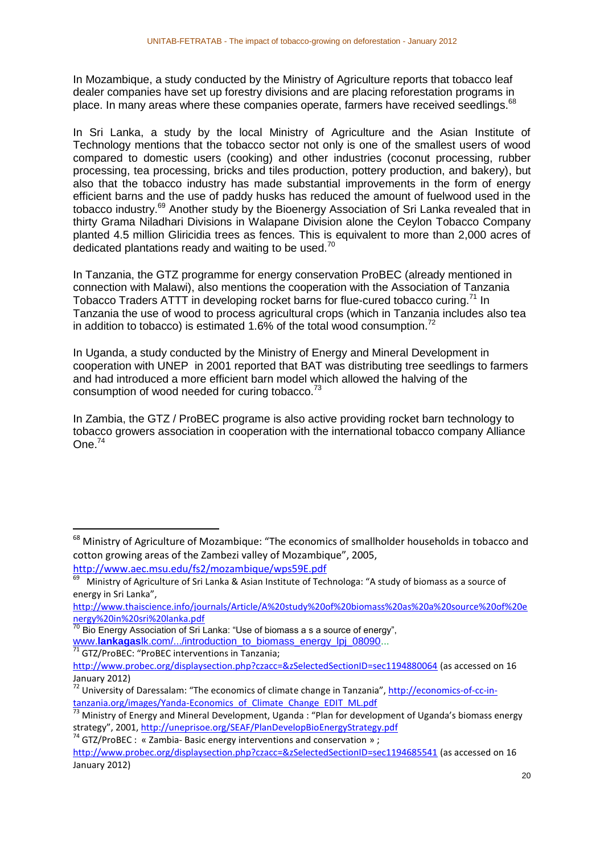In Mozambique, a study conducted by the Ministry of Agriculture reports that tobacco leaf dealer companies have set up forestry divisions and are placing reforestation programs in place. In many areas where these companies operate, farmers have received seedlings.<sup>68</sup>

In Sri Lanka, a study by the local Ministry of Agriculture and the Asian Institute of Technology mentions that the tobacco sector not only is one of the smallest users of wood compared to domestic users (cooking) and other industries (coconut processing, rubber processing, tea processing, bricks and tiles production, pottery production, and bakery), but also that the tobacco industry has made substantial improvements in the form of energy efficient barns and the use of paddy husks has reduced the amount of fuelwood used in the tobacco industry.<sup>69</sup> Another study by the Bioenergy Association of Sri Lanka revealed that in thirty Grama Niladhari Divisions in Walapane Division alone the Ceylon Tobacco Company planted 4.5 million Gliricidia trees as fences. This is equivalent to more than 2,000 acres of dedicated plantations ready and waiting to be used.<sup>70</sup>

In Tanzania, the GTZ programme for energy conservation ProBEC (already mentioned in connection with Malawi), also mentions the cooperation with the Association of Tanzania Tobacco Traders ATTT in developing rocket barns for flue-cured tobacco curing.<sup>71</sup> In Tanzania the use of wood to process agricultural crops (which in Tanzania includes also tea in addition to tobacco) is estimated 1.6% of the total wood consumption.<sup>72</sup>

In Uganda, a study conducted by the Ministry of Energy and Mineral Development in cooperation with UNEP in 2001 reported that BAT was distributing tree seedlings to farmers and had introduced a more efficient barn model which allowed the halving of the consumption of wood needed for curing tobacco.<sup>73</sup>

In Zambia, the GTZ / ProBEC programe is also active providing rocket barn technology to tobacco growers association in cooperation with the international tobacco company Alliance One.<sup>74</sup>

<sup>71</sup> GTZ/ProBEC: "ProBEC interventions in Tanzania;

**.** 

<sup>&</sup>lt;sup>68</sup> Ministry of Agriculture of Mozambique: "The economics of smallholder households in tobacco and cotton growing areas of the Zambezi valley of Mozambique", 2005,

<http://www.aec.msu.edu/fs2/mozambique/wps59E.pdf>

<sup>&</sup>lt;sup>69</sup> Ministry of Agriculture of Sri Lanka & Asian Institute of Technologa: "A study of biomass as a source of energy in Sri Lanka",

[http://www.thaiscience.info/journals/Article/A%20study%20of%20biomass%20as%20a%20source%20of%20e](http://www.thaiscience.info/journals/Article/A%20study%20of%20biomass%20as%20a%20source%20of%20energy%20in%20sri%20lanka.pdf) [nergy%20in%20sri%20lanka.pdf](http://www.thaiscience.info/journals/Article/A%20study%20of%20biomass%20as%20a%20source%20of%20energy%20in%20sri%20lanka.pdf)

 $^{70}$  Bio Energy Association of Sri Lanka: "Use of biomass a s a source of energy",

www.**lankagas**[lk.com/.../introduction\\_to\\_biomass\\_energy\\_lpj\\_08090.](http://www.lankagaslk.com/.../introduction_to_biomass_energy_lpj_08090)..

<http://www.probec.org/displaysection.php?czacc=&zSelectedSectionID=sec1194880064> (as accessed on 16 January 2012)

<sup>&</sup>lt;sup>72</sup> University of Daressalam: "The economics of climate change in Tanzania", [http://economics-of-cc-in](http://economics-of-cc-in-tanzania.org/images/Yanda-Economics_of_Climate_Change_EDIT_ML.pdf)[tanzania.org/images/Yanda-Economics\\_of\\_Climate\\_Change\\_EDIT\\_ML.pdf](http://economics-of-cc-in-tanzania.org/images/Yanda-Economics_of_Climate_Change_EDIT_ML.pdf)

<sup>&</sup>lt;sup>73</sup> Ministry of Energy and Mineral Development, Uganda : "Plan for development of Uganda's biomass energy strategy", 2001, <http://uneprisoe.org/SEAF/PlanDevelopBioEnergyStrategy.pdf>

<sup>&</sup>lt;sup>74</sup> GTZ/ProBEC : « Zambia- Basic energy interventions and conservation » ;

<http://www.probec.org/displaysection.php?czacc=&zSelectedSectionID=sec1194685541> (as accessed on 16 January 2012)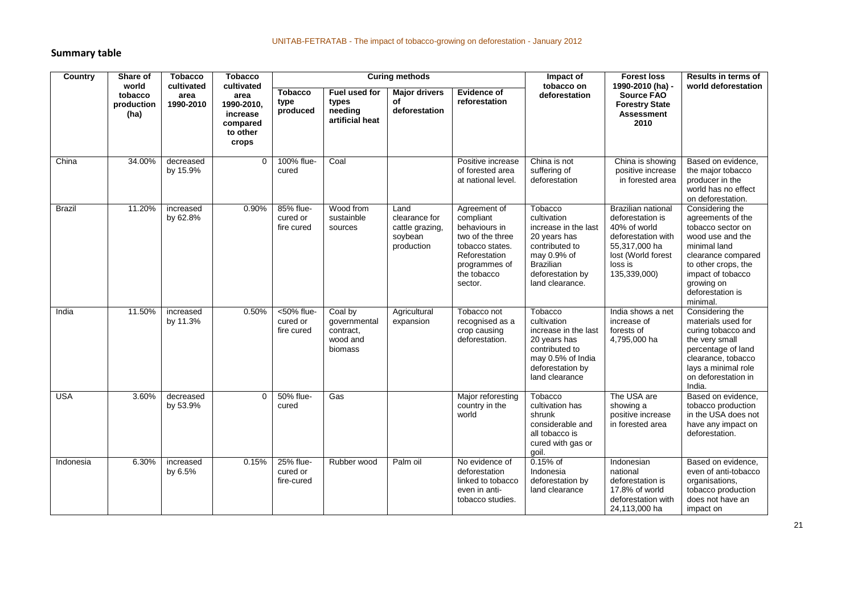#### **Summary table**

| <b>Country</b> | Share of<br>world             | <b>Tobacco</b>                  | <b>Tobacco</b>                                                                | <b>Curing methods</b>                |                                                                                                                                                                                                                                        |                                                                   |                                                                                                                                               | Impact of<br>tobacco on                                                                                                                                    | <b>Forest loss</b><br>1990-2010 (ha) -                                                                                                                | Results in terms of                                                                                                                                                                                           |
|----------------|-------------------------------|---------------------------------|-------------------------------------------------------------------------------|--------------------------------------|----------------------------------------------------------------------------------------------------------------------------------------------------------------------------------------------------------------------------------------|-------------------------------------------------------------------|-----------------------------------------------------------------------------------------------------------------------------------------------|------------------------------------------------------------------------------------------------------------------------------------------------------------|-------------------------------------------------------------------------------------------------------------------------------------------------------|---------------------------------------------------------------------------------------------------------------------------------------------------------------------------------------------------------------|
|                | tobacco<br>production<br>(ha) | cultivated<br>area<br>1990-2010 | cultivated<br>area<br>1990-2010,<br>increase<br>compared<br>to other<br>crops | <b>Tobacco</b><br>type<br>produced   | <b>Evidence of</b><br>Fuel used for<br><b>Major drivers</b><br>deforestation<br><b>Source FAO</b><br>of<br>reforestation<br>types<br><b>Forestry State</b><br>needing<br>deforestation<br><b>Assessment</b><br>artificial heat<br>2010 | world deforestation                                               |                                                                                                                                               |                                                                                                                                                            |                                                                                                                                                       |                                                                                                                                                                                                               |
| China          | 34.00%                        | decreased<br>by 15.9%           | $\mathbf 0$                                                                   | 100% flue-<br>cured                  | Coal                                                                                                                                                                                                                                   |                                                                   | Positive increase<br>of forested area<br>at national level.                                                                                   | China is not<br>suffering of<br>deforestation                                                                                                              | China is showing<br>positive increase<br>in forested area                                                                                             | Based on evidence.<br>the major tobacco<br>producer in the<br>world has no effect<br>on deforestation.                                                                                                        |
| <b>Brazil</b>  | 11.20%                        | increased<br>by 62.8%           | 0.90%                                                                         | 85% flue-<br>cured or<br>fire cured  | Wood from<br>sustainble<br>sources                                                                                                                                                                                                     | Land<br>clearance for<br>cattle grazing,<br>soybean<br>production | Agreement of<br>compliant<br>behaviours in<br>two of the three<br>tobacco states.<br>Reforestation<br>programmes of<br>the tobacco<br>sector. | Tobacco<br>cultivation<br>increase in the last<br>20 years has<br>contributed to<br>may 0.9% of<br><b>Brazilian</b><br>deforestation by<br>land clearance. | <b>Brazilian national</b><br>deforestation is<br>40% of world<br>deforestation with<br>55,317,000 ha<br>lost (World forest<br>loss is<br>135,339,000) | Considering the<br>agreements of the<br>tobacco sector on<br>wood use and the<br>minimal land<br>clearance compared<br>to other crops, the<br>impact of tobacco<br>growing on<br>deforestation is<br>minimal. |
| India          | 11.50%                        | increased<br>by 11.3%           | 0.50%                                                                         | <50% flue-<br>cured or<br>fire cured | Coal by<br>qovernmental<br>contract,<br>wood and<br>biomass                                                                                                                                                                            | Agricultural<br>expansion                                         | Tobacco not<br>recognised as a<br>crop causing<br>deforestation.                                                                              | Tobacco<br>cultivation<br>increase in the last<br>20 years has<br>contributed to<br>may 0.5% of India<br>deforestation by<br>land clearance                | India shows a net<br>increase of<br>forests of<br>4,795,000 ha                                                                                        | Considering the<br>materials used for<br>curing tobacco and<br>the very small<br>percentage of land<br>clearance, tobacco<br>lays a minimal role<br>on deforestation in<br>India.                             |
| <b>USA</b>     | 3.60%                         | decreased<br>by 53.9%           | $\Omega$                                                                      | 50% flue-<br>cured                   | Gas                                                                                                                                                                                                                                    |                                                                   | Major reforesting<br>country in the<br>world                                                                                                  | Tobacco<br>cultivation has<br>shrunk<br>considerable and<br>all tobacco is<br>cured with gas or<br>goil.                                                   | The USA are<br>showing a<br>positive increase<br>in forested area                                                                                     | Based on evidence,<br>tobacco production<br>in the USA does not<br>have any impact on<br>deforestation.                                                                                                       |
| Indonesia      | 6.30%                         | increased<br>by 6.5%            | 0.15%                                                                         | 25% flue-<br>cured or<br>fire-cured  | Rubber wood                                                                                                                                                                                                                            | Palm oil                                                          | No evidence of<br>deforestation<br>linked to tobacco<br>even in anti-<br>tobacco studies.                                                     | $0.15%$ of<br>Indonesia<br>deforestation by<br>land clearance                                                                                              | Indonesian<br>national<br>deforestation is<br>17.8% of world<br>deforestation with<br>24,113,000 ha                                                   | Based on evidence,<br>even of anti-tobacco<br>organisations,<br>tobacco production<br>does not have an<br>impact on                                                                                           |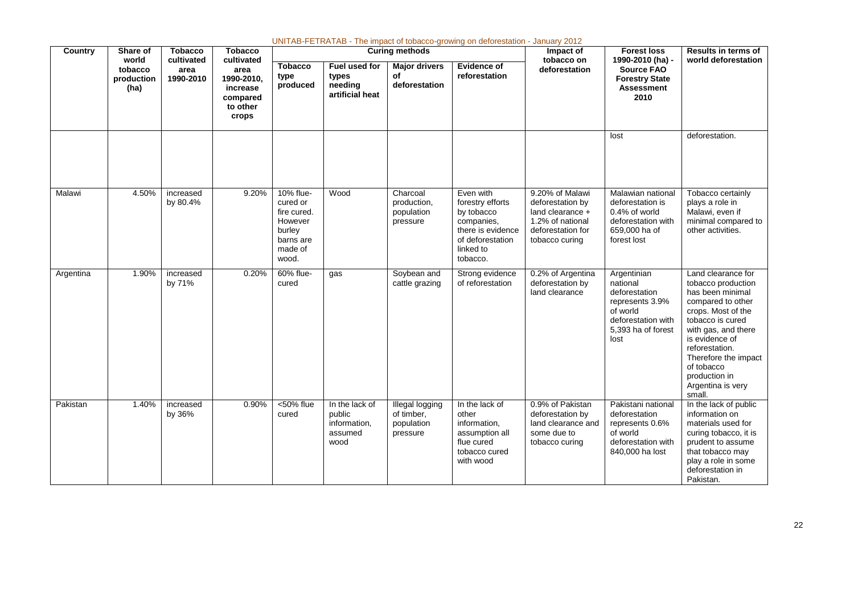|           | UNITAB-FETRATAB - The impact of tobacco-growing on deforestation - January 2012 |                              |                                                                 |                                                                                            |                                                             |                                                         |                                                                                                                             |                                                                                                                    |                                                                                                                             |                                                                                                                                                                                                                                                                              |  |  |
|-----------|---------------------------------------------------------------------------------|------------------------------|-----------------------------------------------------------------|--------------------------------------------------------------------------------------------|-------------------------------------------------------------|---------------------------------------------------------|-----------------------------------------------------------------------------------------------------------------------------|--------------------------------------------------------------------------------------------------------------------|-----------------------------------------------------------------------------------------------------------------------------|------------------------------------------------------------------------------------------------------------------------------------------------------------------------------------------------------------------------------------------------------------------------------|--|--|
| Country   | Share of<br>world                                                               | <b>Tobacco</b><br>cultivated | <b>Tobacco</b><br>cultivated                                    |                                                                                            |                                                             | <b>Curing methods</b>                                   |                                                                                                                             | Impact of<br>tobacco on                                                                                            | <b>Forest loss</b><br>1990-2010 (ha) -                                                                                      | Results in terms of<br>world deforestation                                                                                                                                                                                                                                   |  |  |
|           | tobacco<br>production<br>(ha)                                                   | area<br>1990-2010            | area<br>1990-2010.<br>increase<br>compared<br>to other<br>crops | <b>Tobacco</b><br>type<br>produced                                                         | Fuel used for<br>types<br>needing<br>artificial heat        | <b>Major drivers</b><br>of<br>deforestation             | <b>Evidence of</b><br>reforestation                                                                                         | deforestation                                                                                                      | <b>Source FAO</b><br><b>Forestry State</b><br><b>Assessment</b><br>2010                                                     |                                                                                                                                                                                                                                                                              |  |  |
|           |                                                                                 |                              |                                                                 |                                                                                            |                                                             |                                                         |                                                                                                                             |                                                                                                                    | lost                                                                                                                        | deforestation.                                                                                                                                                                                                                                                               |  |  |
| Malawi    | 4.50%                                                                           | increased<br>by 80.4%        | 9.20%                                                           | 10% flue-<br>cured or<br>fire cured.<br>However<br>burley<br>barns are<br>made of<br>wood. | Wood                                                        | Charcoal<br>production,<br>population<br>pressure       | Even with<br>forestry efforts<br>by tobacco<br>companies,<br>there is evidence<br>of deforestation<br>linked to<br>tobacco. | 9.20% of Malawi<br>deforestation by<br>land clearance +<br>1.2% of national<br>deforestation for<br>tobacco curing | Malawian national<br>deforestation is<br>0.4% of world<br>deforestation with<br>659,000 ha of<br>forest lost                | Tobacco certainly<br>plays a role in<br>Malawi, even if<br>minimal compared to<br>other activities.                                                                                                                                                                          |  |  |
| Argentina | 1.90%                                                                           | increased<br>by 71%          | 0.20%                                                           | 60% flue-<br>cured                                                                         | gas                                                         | Soybean and<br>cattle grazing                           | Strong evidence<br>of reforestation                                                                                         | 0.2% of Argentina<br>deforestation by<br>land clearance                                                            | Argentinian<br>national<br>deforestation<br>represents 3.9%<br>of world<br>deforestation with<br>5,393 ha of forest<br>lost | Land clearance for<br>tobacco production<br>has been minimal<br>compared to other<br>crops. Most of the<br>tobacco is cured<br>with gas, and there<br>is evidence of<br>reforestation.<br>Therefore the impact<br>of tobacco<br>production in<br>Argentina is very<br>small. |  |  |
| Pakistan  | 1.40%                                                                           | increased<br>by 36%          | 0.90%                                                           | <50% flue<br>cured                                                                         | In the lack of<br>public<br>information,<br>assumed<br>wood | Illegal logging<br>of timber,<br>population<br>pressure | In the lack of<br>other<br>information,<br>assumption all<br>flue cured<br>tobacco cured<br>with wood                       | 0.9% of Pakistan<br>deforestation by<br>land clearance and<br>some due to<br>tobacco curing                        | Pakistani national<br>deforestation<br>represents 0.6%<br>of world<br>deforestation with<br>840,000 ha lost                 | In the lack of public<br>information on<br>materials used for<br>curing tobacco, it is<br>prudent to assume<br>that tobacco may<br>play a role in some<br>deforestation in<br>Pakistan.                                                                                      |  |  |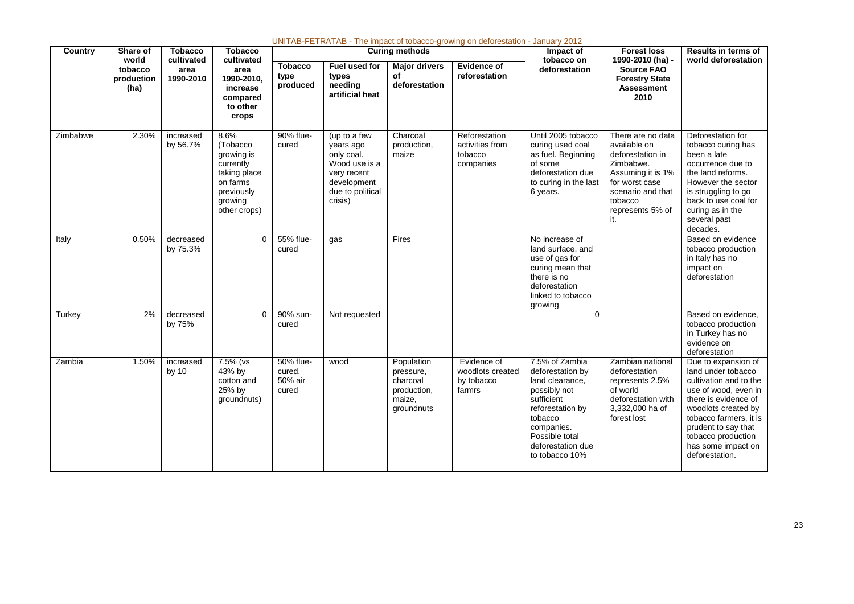| UNITAB-FETRATAB - The impact of tobacco-growing on deforestation - January 2012 |                               |                              |                                                                                                                  |                                         |                                                                                                                       |                                                                            |                                                          |                                                                                                                                                                                           |                                                                                                                                                                      |                                                                                                                                                                                                                                                           |
|---------------------------------------------------------------------------------|-------------------------------|------------------------------|------------------------------------------------------------------------------------------------------------------|-----------------------------------------|-----------------------------------------------------------------------------------------------------------------------|----------------------------------------------------------------------------|----------------------------------------------------------|-------------------------------------------------------------------------------------------------------------------------------------------------------------------------------------------|----------------------------------------------------------------------------------------------------------------------------------------------------------------------|-----------------------------------------------------------------------------------------------------------------------------------------------------------------------------------------------------------------------------------------------------------|
| Country                                                                         | Share of<br>world             | <b>Tobacco</b><br>cultivated | <b>Tobacco</b><br>cultivated                                                                                     |                                         |                                                                                                                       | <b>Curing methods</b>                                                      |                                                          | Impact of<br>tobacco on<br>deforestation                                                                                                                                                  | <b>Forest loss</b><br>1990-2010 (ha) -<br><b>Source FAO</b><br><b>Forestry State</b><br>Assessment<br>2010                                                           | <b>Results in terms of</b><br>world deforestation                                                                                                                                                                                                         |
|                                                                                 | tobacco<br>production<br>(ha) | area<br>1990-2010            | area<br>1990-2010.<br>increase<br>compared<br>to other<br>crops                                                  | <b>Tobacco</b><br>type<br>produced      | Fuel used for<br>types<br>needing<br>artificial heat                                                                  | <b>Major drivers</b><br>of<br>deforestation                                | <b>Evidence of</b><br>reforestation                      |                                                                                                                                                                                           |                                                                                                                                                                      |                                                                                                                                                                                                                                                           |
| Zimbabwe                                                                        | 2.30%                         | increased<br>by 56.7%        | 8.6%<br>(Tobacco<br>growing is<br>currently<br>taking place<br>on farms<br>previously<br>growing<br>other crops) | 90% flue-<br>cured                      | (up to a few<br>years ago<br>only coal.<br>Wood use is a<br>very recent<br>development<br>due to political<br>crisis) | Charcoal<br>production,<br>maize                                           | Reforestation<br>activities from<br>tobacco<br>companies | Until 2005 tobacco<br>curing used coal<br>as fuel. Beginning<br>of some<br>deforestation due<br>to curing in the last<br>6 years.                                                         | There are no data<br>available on<br>deforestation in<br>Zimbabwe.<br>Assuming it is 1%<br>for worst case<br>scenario and that<br>tobacco<br>represents 5% of<br>it. | Deforestation for<br>tobacco curing has<br>been a late<br>occurrence due to<br>the land reforms.<br>However the sector<br>is struggling to go<br>back to use coal for<br>curing as in the<br>several past<br>decades.                                     |
| Italy                                                                           | 0.50%                         | decreased<br>by 75.3%        | $\mathbf 0$                                                                                                      | 55% flue-<br>cured                      | gas                                                                                                                   | Fires                                                                      |                                                          | No increase of<br>land surface, and<br>use of gas for<br>curing mean that<br>there is no<br>deforestation<br>linked to tobacco<br>growing                                                 |                                                                                                                                                                      | Based on evidence<br>tobacco production<br>in Italy has no<br>impact on<br>deforestation                                                                                                                                                                  |
| Turkey                                                                          | 2%                            | decreased<br>by 75%          | $\Omega$                                                                                                         | 90% sun-<br>cured                       | Not requested                                                                                                         |                                                                            |                                                          | $\overline{0}$                                                                                                                                                                            |                                                                                                                                                                      | Based on evidence.<br>tobacco production<br>in Turkey has no<br>evidence on<br>deforestation                                                                                                                                                              |
| Zambia                                                                          | 1.50%                         | increased<br>by 10           | 7.5% (vs<br>43% by<br>cotton and<br>25% by<br>groundnuts)                                                        | 50% flue-<br>cured,<br>50% air<br>cured | wood                                                                                                                  | Population<br>pressure,<br>charcoal<br>production,<br>maize,<br>groundnuts | Evidence of<br>woodlots created<br>by tobacco<br>farmrs  | 7.5% of Zambia<br>deforestation by<br>land clearance,<br>possibly not<br>sufficient<br>reforestation by<br>tobacco<br>companies.<br>Possible total<br>deforestation due<br>to tobacco 10% | Zambian national<br>deforestation<br>represents 2.5%<br>of world<br>deforestation with<br>3,332,000 ha of<br>forest lost                                             | Due to expansion of<br>land under tobacco<br>cultivation and to the<br>use of wood, even in<br>there is evidence of<br>woodlots created by<br>tobacco farmers, it is<br>prudent to say that<br>tobacco production<br>has some impact on<br>deforestation. |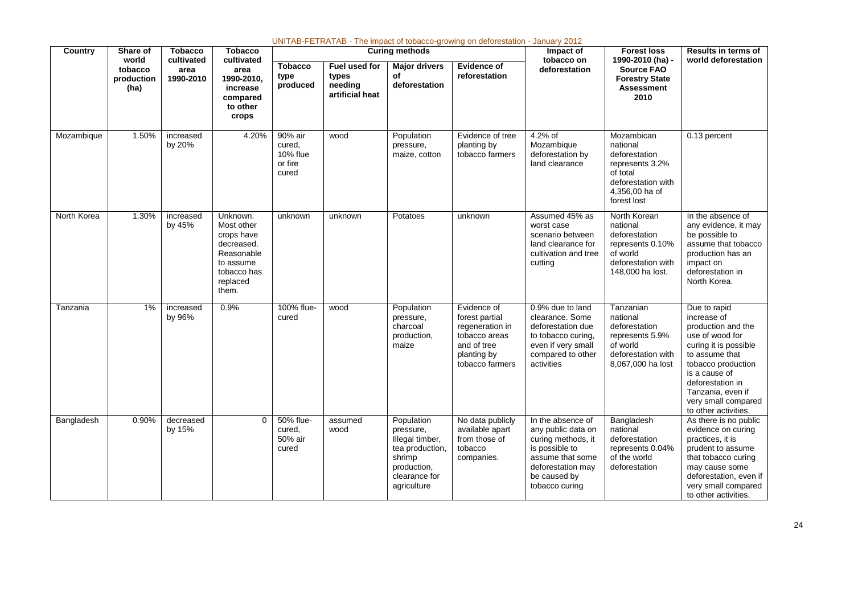| Country     | Share of                               | <b>Tobacco</b>                  | <b>Tobacco</b>                                                                                                    |                                                   |                                                      | <b>Curing methods</b>                                                                                                  | UNITAB-FETRATAB - The impact of tobacco-growing on deforestation - January 2012                                    | Impact of                                                                                                                                                  | <b>Forest loss</b>                                                                                                            | <b>Results in terms of</b>                                                                                                                                                                                                                     |
|-------------|----------------------------------------|---------------------------------|-------------------------------------------------------------------------------------------------------------------|---------------------------------------------------|------------------------------------------------------|------------------------------------------------------------------------------------------------------------------------|--------------------------------------------------------------------------------------------------------------------|------------------------------------------------------------------------------------------------------------------------------------------------------------|-------------------------------------------------------------------------------------------------------------------------------|------------------------------------------------------------------------------------------------------------------------------------------------------------------------------------------------------------------------------------------------|
|             | world<br>tobacco<br>production<br>(ha) | cultivated<br>area<br>1990-2010 | cultivated<br>area<br>1990-2010.<br>increase<br>compared<br>to other<br>crops                                     | <b>Tobacco</b><br>type<br>produced                | Fuel used for<br>types<br>needing<br>artificial heat | <b>Major drivers</b><br>of<br>deforestation                                                                            | Evidence of<br>reforestation                                                                                       | tobacco on<br>deforestation                                                                                                                                | 1990-2010 (ha) -<br><b>Source FAO</b><br><b>Forestry State</b><br><b>Assessment</b><br>2010                                   | world deforestation                                                                                                                                                                                                                            |
| Mozambique  | 1.50%                                  | increased<br>by 20%             | 4.20%                                                                                                             | 90% air<br>cured.<br>10% flue<br>or fire<br>cured | wood                                                 | Population<br>pressure,<br>maize, cotton                                                                               | Evidence of tree<br>planting by<br>tobacco farmers                                                                 | 4.2% of<br>Mozambique<br>deforestation by<br>land clearance                                                                                                | Mozambican<br>national<br>deforestation<br>represents 3.2%<br>of total<br>deforestation with<br>4.356.00 ha of<br>forest lost | 0.13 percent                                                                                                                                                                                                                                   |
| North Korea | 1.30%                                  | increased<br>by 45%             | Unknown.<br>Most other<br>crops have<br>decreased.<br>Reasonable<br>to assume<br>tobacco has<br>replaced<br>them. | unknown                                           | unknown                                              | Potatoes                                                                                                               | unknown                                                                                                            | Assumed 45% as<br>worst case<br>scenario between<br>land clearance for<br>cultivation and tree<br>cutting                                                  | North Korean<br>national<br>deforestation<br>represents 0.10%<br>of world<br>deforestation with<br>148,000 ha lost.           | In the absence of<br>any evidence, it may<br>be possible to<br>assume that tobacco<br>production has an<br>impact on<br>deforestation in<br>North Korea.                                                                                       |
| Tanzania    | 1%                                     | increased<br>by 96%             | 0.9%                                                                                                              | 100% flue-<br>cured                               | wood                                                 | Population<br>pressure,<br>charcoal<br>production,<br>maize                                                            | Evidence of<br>forest partial<br>regeneration in<br>tobacco areas<br>and of tree<br>planting by<br>tobacco farmers | 0.9% due to land<br>clearance, Some<br>deforestation due<br>to tobacco curing,<br>even if very small<br>compared to other<br>activities                    | Tanzanian<br>national<br>deforestation<br>represents 5.9%<br>of world<br>deforestation with<br>8,067,000 ha lost              | Due to rapid<br>increase of<br>production and the<br>use of wood for<br>curing it is possible<br>to assume that<br>tobacco production<br>is a cause of<br>deforestation in<br>Tanzania, even if<br>very small compared<br>to other activities. |
| Bangladesh  | 0.90%                                  | decreased<br>by 15%             | $\Omega$                                                                                                          | 50% flue-<br>cured.<br>50% air<br>cured           | assumed<br>wood                                      | Population<br>pressure,<br>Illegal timber,<br>tea production,<br>shrimp<br>production,<br>clearance for<br>agriculture | No data publicly<br>available apart<br>from those of<br>tobacco<br>companies.                                      | In the absence of<br>any public data on<br>curing methods, it<br>is possible to<br>assume that some<br>deforestation may<br>be caused by<br>tobacco curing | Bangladesh<br>national<br>deforestation<br>represents 0.04%<br>of the world<br>deforestation                                  | As there is no public<br>evidence on curing<br>practices, it is<br>prudent to assume<br>that tobacco curing<br>may cause some<br>deforestation, even if<br>very small compared<br>to other activities.                                         |